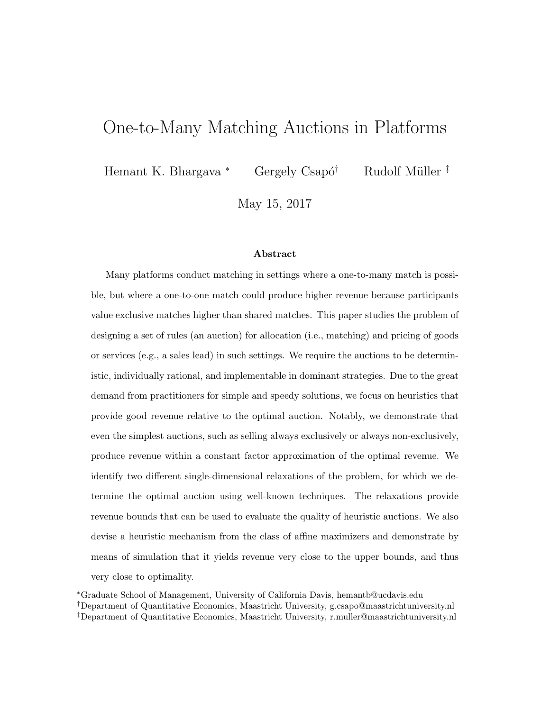# One-to-Many Matching Auctions in Platforms

Hemant K. Bhargava \* Gergely Csapó<sup>†</sup> Rudolf Müller<sup>‡</sup>

May 15, 2017

#### Abstract

Many platforms conduct matching in settings where a one-to-many match is possible, but where a one-to-one match could produce higher revenue because participants value exclusive matches higher than shared matches. This paper studies the problem of designing a set of rules (an auction) for allocation (i.e., matching) and pricing of goods or services (e.g., a sales lead) in such settings. We require the auctions to be deterministic, individually rational, and implementable in dominant strategies. Due to the great demand from practitioners for simple and speedy solutions, we focus on heuristics that provide good revenue relative to the optimal auction. Notably, we demonstrate that even the simplest auctions, such as selling always exclusively or always non-exclusively, produce revenue within a constant factor approximation of the optimal revenue. We identify two different single-dimensional relaxations of the problem, for which we determine the optimal auction using well-known techniques. The relaxations provide revenue bounds that can be used to evaluate the quality of heuristic auctions. We also devise a heuristic mechanism from the class of affine maximizers and demonstrate by means of simulation that it yields revenue very close to the upper bounds, and thus very close to optimality.

<sup>∗</sup>Graduate School of Management, University of California Davis, hemantb@ucdavis.edu

†Department of Quantitative Economics, Maastricht University, g.csapo@maastrichtuniversity.nl

<sup>‡</sup>Department of Quantitative Economics, Maastricht University, r.muller@maastrichtuniversity.nl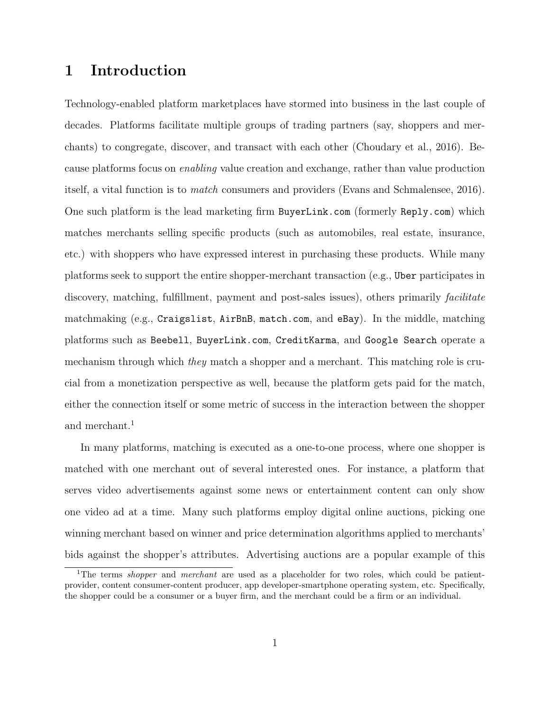## 1 Introduction

Technology-enabled platform marketplaces have stormed into business in the last couple of decades. Platforms facilitate multiple groups of trading partners (say, shoppers and merchants) to congregate, discover, and transact with each other (Choudary et al., 2016). Because platforms focus on enabling value creation and exchange, rather than value production itself, a vital function is to match consumers and providers (Evans and Schmalensee, 2016). One such platform is the lead marketing firm BuyerLink.com (formerly Reply.com) which matches merchants selling specific products (such as automobiles, real estate, insurance, etc.) with shoppers who have expressed interest in purchasing these products. While many platforms seek to support the entire shopper-merchant transaction (e.g., Uber participates in discovery, matching, fulfillment, payment and post-sales issues), others primarily *facilitate* matchmaking (e.g., Craigslist, AirBnB, match.com, and eBay). In the middle, matching platforms such as Beebell, BuyerLink.com, CreditKarma, and Google Search operate a mechanism through which they match a shopper and a merchant. This matching role is crucial from a monetization perspective as well, because the platform gets paid for the match, either the connection itself or some metric of success in the interaction between the shopper and merchant.<sup>1</sup>

In many platforms, matching is executed as a one-to-one process, where one shopper is matched with one merchant out of several interested ones. For instance, a platform that serves video advertisements against some news or entertainment content can only show one video ad at a time. Many such platforms employ digital online auctions, picking one winning merchant based on winner and price determination algorithms applied to merchants' bids against the shopper's attributes. Advertising auctions are a popular example of this

<sup>&</sup>lt;sup>1</sup>The terms *shopper* and *merchant* are used as a placeholder for two roles, which could be patientprovider, content consumer-content producer, app developer-smartphone operating system, etc. Specifically, the shopper could be a consumer or a buyer firm, and the merchant could be a firm or an individual.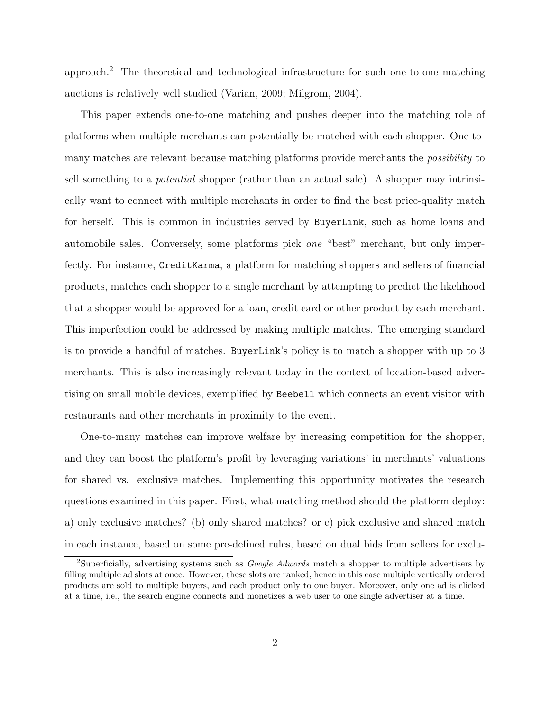approach.<sup>2</sup> The theoretical and technological infrastructure for such one-to-one matching auctions is relatively well studied (Varian, 2009; Milgrom, 2004).

This paper extends one-to-one matching and pushes deeper into the matching role of platforms when multiple merchants can potentially be matched with each shopper. One-tomany matches are relevant because matching platforms provide merchants the possibility to sell something to a potential shopper (rather than an actual sale). A shopper may intrinsically want to connect with multiple merchants in order to find the best price-quality match for herself. This is common in industries served by BuyerLink, such as home loans and automobile sales. Conversely, some platforms pick one "best" merchant, but only imperfectly. For instance, CreditKarma, a platform for matching shoppers and sellers of financial products, matches each shopper to a single merchant by attempting to predict the likelihood that a shopper would be approved for a loan, credit card or other product by each merchant. This imperfection could be addressed by making multiple matches. The emerging standard is to provide a handful of matches. BuyerLink's policy is to match a shopper with up to 3 merchants. This is also increasingly relevant today in the context of location-based advertising on small mobile devices, exemplified by Beebell which connects an event visitor with restaurants and other merchants in proximity to the event.

One-to-many matches can improve welfare by increasing competition for the shopper, and they can boost the platform's profit by leveraging variations' in merchants' valuations for shared vs. exclusive matches. Implementing this opportunity motivates the research questions examined in this paper. First, what matching method should the platform deploy: a) only exclusive matches? (b) only shared matches? or c) pick exclusive and shared match in each instance, based on some pre-defined rules, based on dual bids from sellers for exclu-

<sup>&</sup>lt;sup>2</sup>Superficially, advertising systems such as *Google Adwords* match a shopper to multiple advertisers by filling multiple ad slots at once. However, these slots are ranked, hence in this case multiple vertically ordered products are sold to multiple buyers, and each product only to one buyer. Moreover, only one ad is clicked at a time, i.e., the search engine connects and monetizes a web user to one single advertiser at a time.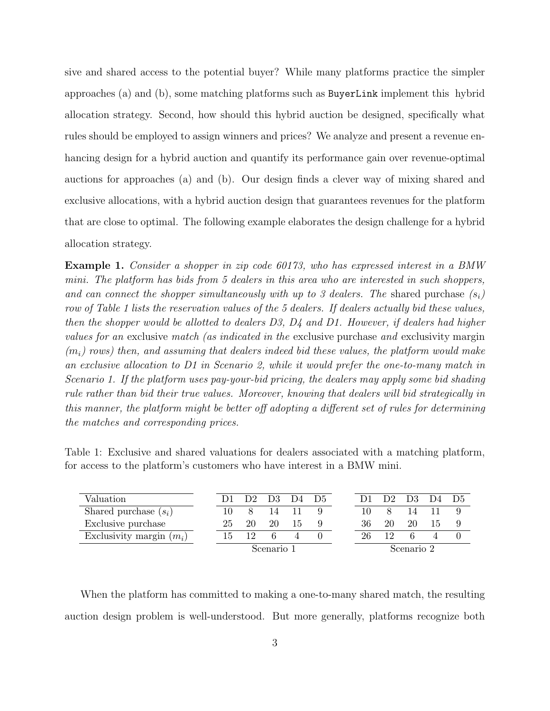sive and shared access to the potential buyer? While many platforms practice the simpler approaches (a) and (b), some matching platforms such as BuyerLink implement this hybrid allocation strategy. Second, how should this hybrid auction be designed, specifically what rules should be employed to assign winners and prices? We analyze and present a revenue enhancing design for a hybrid auction and quantify its performance gain over revenue-optimal auctions for approaches (a) and (b). Our design finds a clever way of mixing shared and exclusive allocations, with a hybrid auction design that guarantees revenues for the platform that are close to optimal. The following example elaborates the design challenge for a hybrid allocation strategy.

Example 1. Consider a shopper in zip code 60173, who has expressed interest in a BMW mini. The platform has bids from 5 dealers in this area who are interested in such shoppers, and can connect the shopper simultaneously with up to 3 dealers. The shared purchase  $(s_i)$ row of Table 1 lists the reservation values of the 5 dealers. If dealers actually bid these values, then the shopper would be allotted to dealers  $D3$ ,  $D4$  and  $D1$ . However, if dealers had higher values for an exclusive match (as indicated in the exclusive purchase and exclusivity margin  $(m_i)$  rows) then, and assuming that dealers indeed bid these values, the platform would make an exclusive allocation to D1 in Scenario 2, while it would prefer the one-to-many match in Scenario 1. If the platform uses pay-your-bid pricing, the dealers may apply some bid shading rule rather than bid their true values. Moreover, knowing that dealers will bid strategically in this manner, the platform might be better off adopting a different set of rules for determining the matches and corresponding prices.

Table 1: Exclusive and shared valuations for dealers associated with a matching platform, for access to the platform's customers who have interest in a BMW mini.

| Valuation                  |            |    | D <sub>2</sub> D <sub>3</sub> D <sub>4</sub> |    | - D5       |    | 122 | D <sub>3</sub> | D4 D5 |  |
|----------------------------|------------|----|----------------------------------------------|----|------------|----|-----|----------------|-------|--|
| Shared purchase $(s_i)$    | 10         |    | 14                                           |    |            |    |     |                |       |  |
| Exclusive purchase         | 25         | 20 | 20                                           | T. |            | 36 | 20  | 20             | L.    |  |
| Exclusivity margin $(m_i)$ | 15         | 19 |                                              |    |            | 26 |     |                |       |  |
|                            | Scenario 1 |    |                                              |    | Scenario 2 |    |     |                |       |  |

When the platform has committed to making a one-to-many shared match, the resulting auction design problem is well-understood. But more generally, platforms recognize both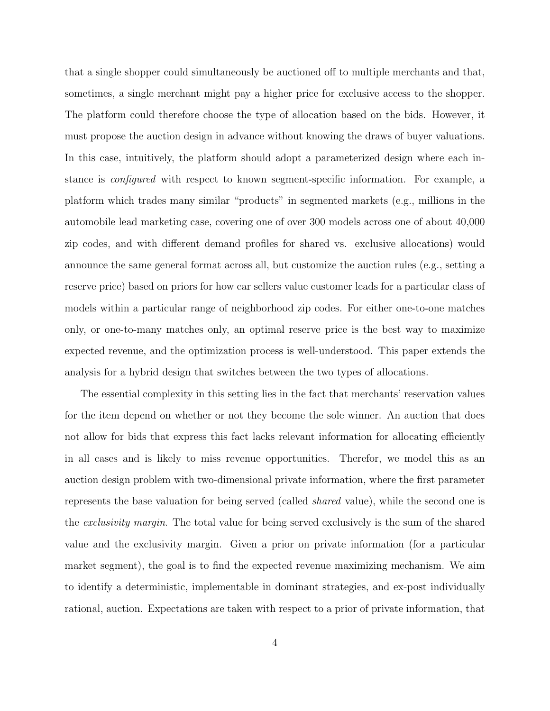that a single shopper could simultaneously be auctioned off to multiple merchants and that, sometimes, a single merchant might pay a higher price for exclusive access to the shopper. The platform could therefore choose the type of allocation based on the bids. However, it must propose the auction design in advance without knowing the draws of buyer valuations. In this case, intuitively, the platform should adopt a parameterized design where each instance is configured with respect to known segment-specific information. For example, a platform which trades many similar "products" in segmented markets (e.g., millions in the automobile lead marketing case, covering one of over 300 models across one of about 40,000 zip codes, and with different demand profiles for shared vs. exclusive allocations) would announce the same general format across all, but customize the auction rules (e.g., setting a reserve price) based on priors for how car sellers value customer leads for a particular class of models within a particular range of neighborhood zip codes. For either one-to-one matches only, or one-to-many matches only, an optimal reserve price is the best way to maximize expected revenue, and the optimization process is well-understood. This paper extends the analysis for a hybrid design that switches between the two types of allocations.

The essential complexity in this setting lies in the fact that merchants' reservation values for the item depend on whether or not they become the sole winner. An auction that does not allow for bids that express this fact lacks relevant information for allocating efficiently in all cases and is likely to miss revenue opportunities. Therefor, we model this as an auction design problem with two-dimensional private information, where the first parameter represents the base valuation for being served (called shared value), while the second one is the exclusivity margin. The total value for being served exclusively is the sum of the shared value and the exclusivity margin. Given a prior on private information (for a particular market segment), the goal is to find the expected revenue maximizing mechanism. We aim to identify a deterministic, implementable in dominant strategies, and ex-post individually rational, auction. Expectations are taken with respect to a prior of private information, that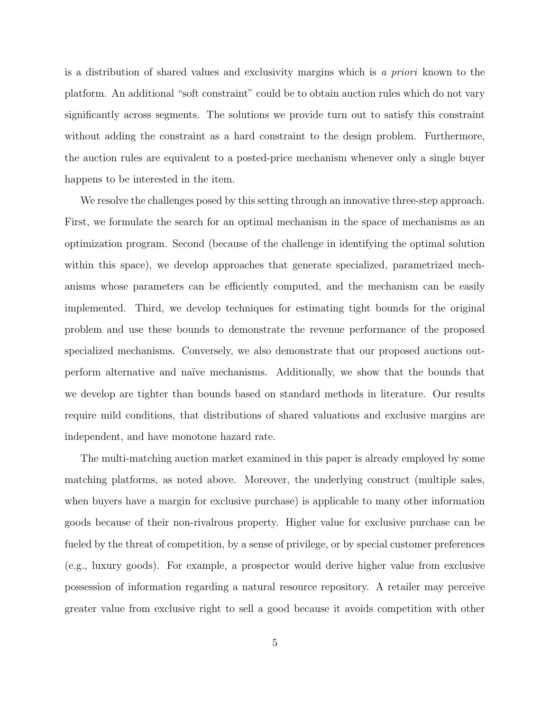is a distribution of shared values and exclusivity margins which is a priori known to the platform. An additional "soft constraint" could be to obtain auction rules which do not vary significantly across segments. The solutions we provide turn out to satisfy this constraint without adding the constraint as a hard constraint to the design problem. Furthermore, the auction rules are equivalent to a posted-price mechanism whenever only a single buyer happens to be interested in the item.

We resolve the challenges posed by this setting through an innovative three-step approach. First, we formulate the search for an optimal mechanism in the space of mechanisms as an optimization program. Second (because of the challenge in identifying the optimal solution within this space), we develop approaches that generate specialized, parametrized mechanisms whose parameters can be efficiently computed, and the mechanism can be easily implemented. Third, we develop techniques for estimating tight bounds for the original problem and use these bounds to demonstrate the revenue performance of the proposed specialized mechanisms. Conversely, we also demonstrate that our proposed auctions outperform alternative and na¨ıve mechanisms. Additionally, we show that the bounds that we develop are tighter than bounds based on standard methods in literature. Our results require mild conditions, that distributions of shared valuations and exclusive margins are independent, and have monotone hazard rate.

The multi-matching auction market examined in this paper is already employed by some matching platforms, as noted above. Moreover, the underlying construct (multiple sales, when buyers have a margin for exclusive purchase) is applicable to many other information goods because of their non-rivalrous property. Higher value for exclusive purchase can be fueled by the threat of competition, by a sense of privilege, or by special customer preferences (e.g., luxury goods). For example, a prospector would derive higher value from exclusive possession of information regarding a natural resource repository. A retailer may perceive greater value from exclusive right to sell a good because it avoids competition with other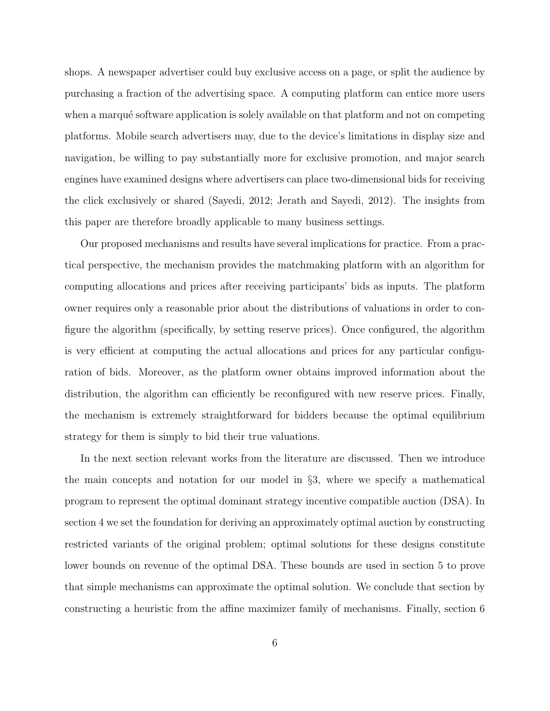shops. A newspaper advertiser could buy exclusive access on a page, or split the audience by purchasing a fraction of the advertising space. A computing platform can entice more users when a marqué software application is solely available on that platform and not on competing platforms. Mobile search advertisers may, due to the device's limitations in display size and navigation, be willing to pay substantially more for exclusive promotion, and major search engines have examined designs where advertisers can place two-dimensional bids for receiving the click exclusively or shared (Sayedi, 2012; Jerath and Sayedi, 2012). The insights from this paper are therefore broadly applicable to many business settings.

Our proposed mechanisms and results have several implications for practice. From a practical perspective, the mechanism provides the matchmaking platform with an algorithm for computing allocations and prices after receiving participants' bids as inputs. The platform owner requires only a reasonable prior about the distributions of valuations in order to configure the algorithm (specifically, by setting reserve prices). Once configured, the algorithm is very efficient at computing the actual allocations and prices for any particular configuration of bids. Moreover, as the platform owner obtains improved information about the distribution, the algorithm can efficiently be reconfigured with new reserve prices. Finally, the mechanism is extremely straightforward for bidders because the optimal equilibrium strategy for them is simply to bid their true valuations.

In the next section relevant works from the literature are discussed. Then we introduce the main concepts and notation for our model in §3, where we specify a mathematical program to represent the optimal dominant strategy incentive compatible auction (DSA). In section 4 we set the foundation for deriving an approximately optimal auction by constructing restricted variants of the original problem; optimal solutions for these designs constitute lower bounds on revenue of the optimal DSA. These bounds are used in section 5 to prove that simple mechanisms can approximate the optimal solution. We conclude that section by constructing a heuristic from the affine maximizer family of mechanisms. Finally, section 6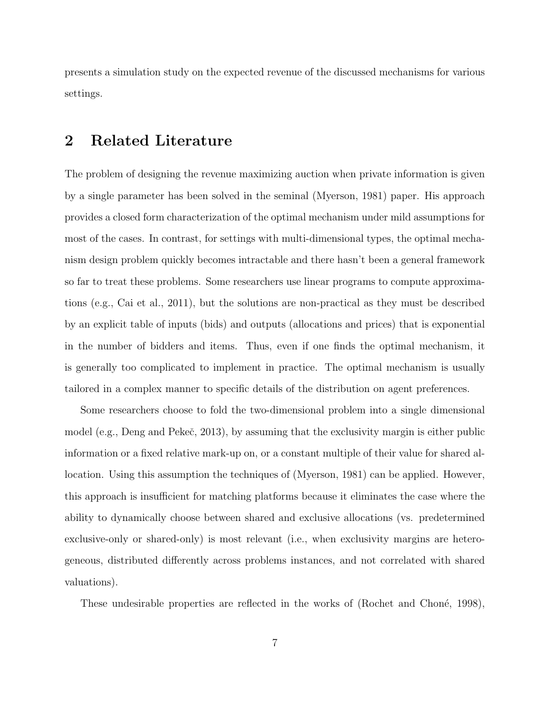presents a simulation study on the expected revenue of the discussed mechanisms for various settings.

## 2 Related Literature

The problem of designing the revenue maximizing auction when private information is given by a single parameter has been solved in the seminal (Myerson, 1981) paper. His approach provides a closed form characterization of the optimal mechanism under mild assumptions for most of the cases. In contrast, for settings with multi-dimensional types, the optimal mechanism design problem quickly becomes intractable and there hasn't been a general framework so far to treat these problems. Some researchers use linear programs to compute approximations (e.g., Cai et al., 2011), but the solutions are non-practical as they must be described by an explicit table of inputs (bids) and outputs (allocations and prices) that is exponential in the number of bidders and items. Thus, even if one finds the optimal mechanism, it is generally too complicated to implement in practice. The optimal mechanism is usually tailored in a complex manner to specific details of the distribution on agent preferences.

Some researchers choose to fold the two-dimensional problem into a single dimensional model (e.g., Deng and Pekeč, 2013), by assuming that the exclusivity margin is either public information or a fixed relative mark-up on, or a constant multiple of their value for shared allocation. Using this assumption the techniques of (Myerson, 1981) can be applied. However, this approach is insufficient for matching platforms because it eliminates the case where the ability to dynamically choose between shared and exclusive allocations (vs. predetermined exclusive-only or shared-only) is most relevant (i.e., when exclusivity margins are heterogeneous, distributed differently across problems instances, and not correlated with shared valuations).

These undesirable properties are reflected in the works of (Rochet and Choné, 1998),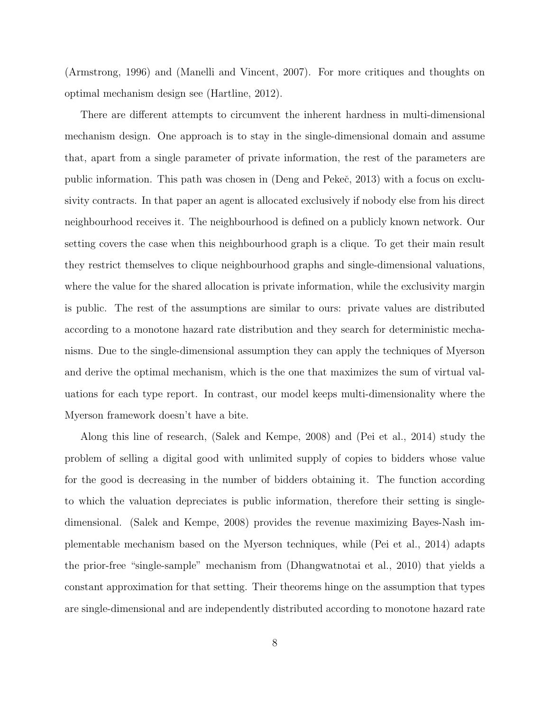(Armstrong, 1996) and (Manelli and Vincent, 2007). For more critiques and thoughts on optimal mechanism design see (Hartline, 2012).

There are different attempts to circumvent the inherent hardness in multi-dimensional mechanism design. One approach is to stay in the single-dimensional domain and assume that, apart from a single parameter of private information, the rest of the parameters are public information. This path was chosen in (Deng and Pekeˇc, 2013) with a focus on exclusivity contracts. In that paper an agent is allocated exclusively if nobody else from his direct neighbourhood receives it. The neighbourhood is defined on a publicly known network. Our setting covers the case when this neighbourhood graph is a clique. To get their main result they restrict themselves to clique neighbourhood graphs and single-dimensional valuations, where the value for the shared allocation is private information, while the exclusivity margin is public. The rest of the assumptions are similar to ours: private values are distributed according to a monotone hazard rate distribution and they search for deterministic mechanisms. Due to the single-dimensional assumption they can apply the techniques of Myerson and derive the optimal mechanism, which is the one that maximizes the sum of virtual valuations for each type report. In contrast, our model keeps multi-dimensionality where the Myerson framework doesn't have a bite.

Along this line of research, (Salek and Kempe, 2008) and (Pei et al., 2014) study the problem of selling a digital good with unlimited supply of copies to bidders whose value for the good is decreasing in the number of bidders obtaining it. The function according to which the valuation depreciates is public information, therefore their setting is singledimensional. (Salek and Kempe, 2008) provides the revenue maximizing Bayes-Nash implementable mechanism based on the Myerson techniques, while (Pei et al., 2014) adapts the prior-free "single-sample" mechanism from (Dhangwatnotai et al., 2010) that yields a constant approximation for that setting. Their theorems hinge on the assumption that types are single-dimensional and are independently distributed according to monotone hazard rate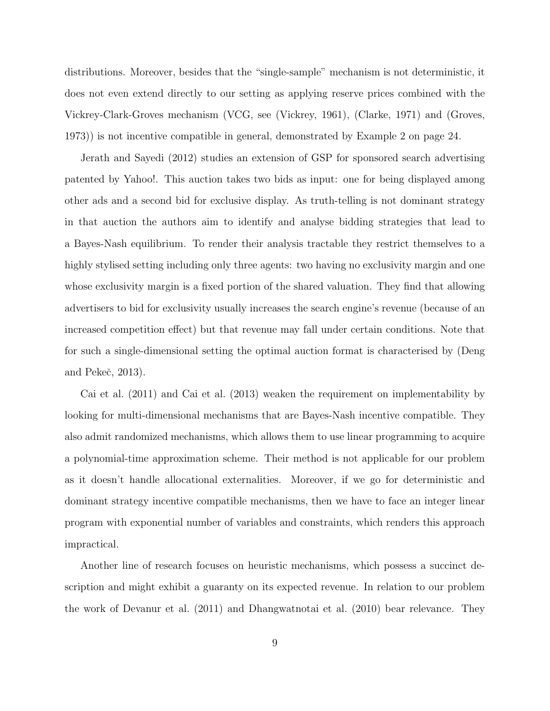distributions. Moreover, besides that the "single-sample" mechanism is not deterministic, it does not even extend directly to our setting as applying reserve prices combined with the Vickrey-Clark-Groves mechanism (VCG, see (Vickrey, 1961), (Clarke, 1971) and (Groves, 1973)) is not incentive compatible in general, demonstrated by Example 2 on page 24.

Jerath and Sayedi (2012) studies an extension of GSP for sponsored search advertising patented by Yahoo!. This auction takes two bids as input: one for being displayed among other ads and a second bid for exclusive display. As truth-telling is not dominant strategy in that auction the authors aim to identify and analyse bidding strategies that lead to a Bayes-Nash equilibrium. To render their analysis tractable they restrict themselves to a highly stylised setting including only three agents: two having no exclusivity margin and one whose exclusivity margin is a fixed portion of the shared valuation. They find that allowing advertisers to bid for exclusivity usually increases the search engine's revenue (because of an increased competition effect) but that revenue may fall under certain conditions. Note that for such a single-dimensional setting the optimal auction format is characterised by (Deng and Pekeč, 2013).

Cai et al. (2011) and Cai et al. (2013) weaken the requirement on implementability by looking for multi-dimensional mechanisms that are Bayes-Nash incentive compatible. They also admit randomized mechanisms, which allows them to use linear programming to acquire a polynomial-time approximation scheme. Their method is not applicable for our problem as it doesn't handle allocational externalities. Moreover, if we go for deterministic and dominant strategy incentive compatible mechanisms, then we have to face an integer linear program with exponential number of variables and constraints, which renders this approach impractical.

Another line of research focuses on heuristic mechanisms, which possess a succinct description and might exhibit a guaranty on its expected revenue. In relation to our problem the work of Devanur et al. (2011) and Dhangwatnotai et al. (2010) bear relevance. They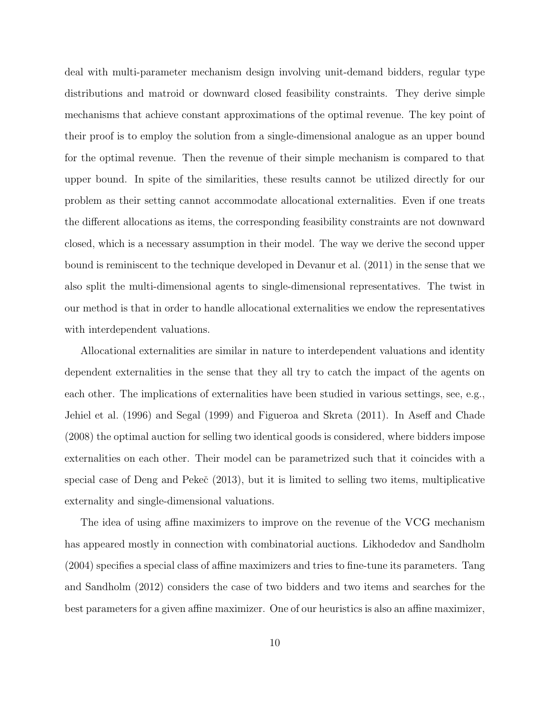deal with multi-parameter mechanism design involving unit-demand bidders, regular type distributions and matroid or downward closed feasibility constraints. They derive simple mechanisms that achieve constant approximations of the optimal revenue. The key point of their proof is to employ the solution from a single-dimensional analogue as an upper bound for the optimal revenue. Then the revenue of their simple mechanism is compared to that upper bound. In spite of the similarities, these results cannot be utilized directly for our problem as their setting cannot accommodate allocational externalities. Even if one treats the different allocations as items, the corresponding feasibility constraints are not downward closed, which is a necessary assumption in their model. The way we derive the second upper bound is reminiscent to the technique developed in Devanur et al. (2011) in the sense that we also split the multi-dimensional agents to single-dimensional representatives. The twist in our method is that in order to handle allocational externalities we endow the representatives with interdependent valuations.

Allocational externalities are similar in nature to interdependent valuations and identity dependent externalities in the sense that they all try to catch the impact of the agents on each other. The implications of externalities have been studied in various settings, see, e.g., Jehiel et al. (1996) and Segal (1999) and Figueroa and Skreta (2011). In Aseff and Chade (2008) the optimal auction for selling two identical goods is considered, where bidders impose externalities on each other. Their model can be parametrized such that it coincides with a special case of Deng and Peke $\check{c}$  (2013), but it is limited to selling two items, multiplicative externality and single-dimensional valuations.

The idea of using affine maximizers to improve on the revenue of the VCG mechanism has appeared mostly in connection with combinatorial auctions. Likhodedov and Sandholm (2004) specifies a special class of affine maximizers and tries to fine-tune its parameters. Tang and Sandholm (2012) considers the case of two bidders and two items and searches for the best parameters for a given affine maximizer. One of our heuristics is also an affine maximizer,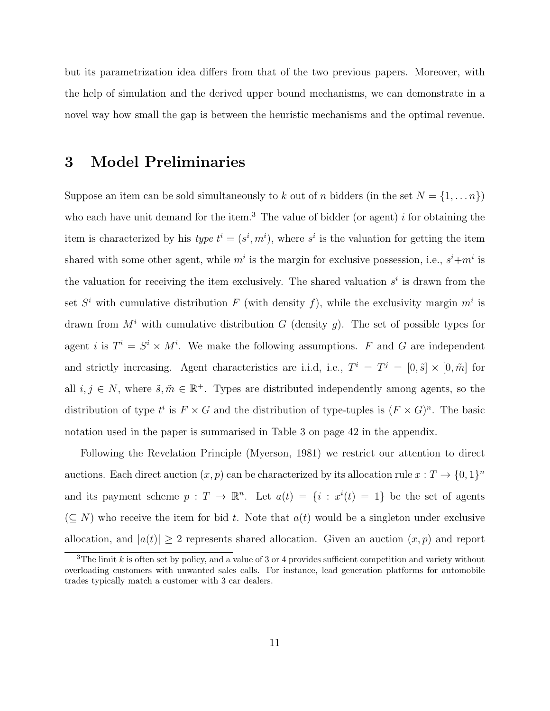but its parametrization idea differs from that of the two previous papers. Moreover, with the help of simulation and the derived upper bound mechanisms, we can demonstrate in a novel way how small the gap is between the heuristic mechanisms and the optimal revenue.

## 3 Model Preliminaries

Suppose an item can be sold simultaneously to k out of n bidders (in the set  $N = \{1, ..., n\}$ ) who each have unit demand for the item.<sup>3</sup> The value of bidder (or agent) i for obtaining the item is characterized by his type  $t^i = (s^i, m^i)$ , where  $s^i$  is the valuation for getting the item shared with some other agent, while  $m^i$  is the margin for exclusive possession, i.e.,  $s^i+m^i$  is the valuation for receiving the item exclusively. The shared valuation  $s^i$  is drawn from the set  $S^i$  with cumulative distribution F (with density f), while the exclusivity margin  $m^i$  is drawn from  $M<sup>i</sup>$  with cumulative distribution G (density g). The set of possible types for agent *i* is  $T^i = S^i \times M^i$ . We make the following assumptions. F and G are independent and strictly increasing. Agent characteristics are i.i.d, i.e.,  $T^i = T^j = [0, \tilde{s}] \times [0, \tilde{m}]$  for all  $i, j \in N$ , where  $\tilde{s}, \tilde{m} \in \mathbb{R}^+$ . Types are distributed independently among agents, so the distribution of type  $t^i$  is  $F \times G$  and the distribution of type-tuples is  $(F \times G)^n$ . The basic notation used in the paper is summarised in Table 3 on page 42 in the appendix.

Following the Revelation Principle (Myerson, 1981) we restrict our attention to direct auctions. Each direct auction  $(x, p)$  can be characterized by its allocation rule  $x: T \to \{0, 1\}^n$ and its payment scheme  $p: T \to \mathbb{R}^n$ . Let  $a(t) = \{i: x^i(t) = 1\}$  be the set of agents  $(\subseteq N)$  who receive the item for bid t. Note that  $a(t)$  would be a singleton under exclusive allocation, and  $|a(t)| \geq 2$  represents shared allocation. Given an auction  $(x, p)$  and report

<sup>&</sup>lt;sup>3</sup>The limit k is often set by policy, and a value of 3 or 4 provides sufficient competition and variety without overloading customers with unwanted sales calls. For instance, lead generation platforms for automobile trades typically match a customer with 3 car dealers.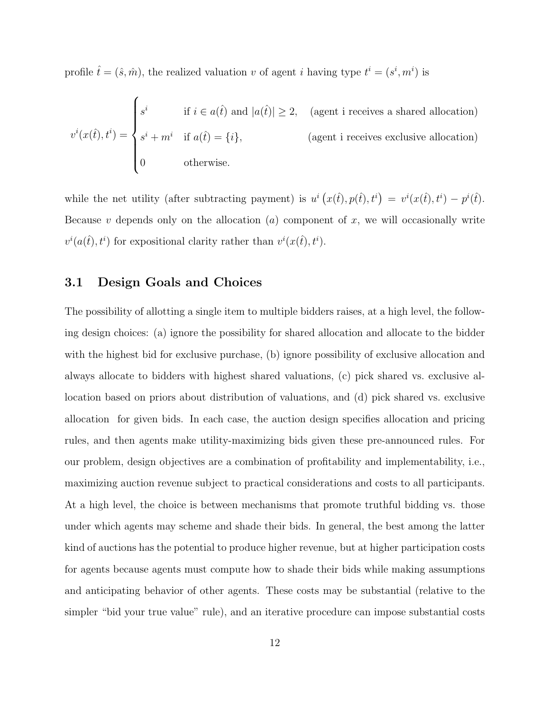profile  $\hat{t} = (\hat{s}, \hat{m})$ , the realized valuation v of agent i having type  $t^i = (s^i, m^i)$  is

$$
v^{i}(x(\hat{t}), t^{i}) = \begin{cases} s^{i} & \text{if } i \in a(\hat{t}) \text{ and } |a(\hat{t})| \geq 2, \quad \text{(agent i receives a shared allocation)}\\ s^{i} + m^{i} & \text{if } a(\hat{t}) = \{i\},\\ 0 & \text{otherwise.} \end{cases}
$$
 (agent i receives exclusive allocation)

while the net utility (after subtracting payment) is  $u^i(x(\hat{t}), p(\hat{t}), t^i) = v^i(x(\hat{t}), t^i) - p^i(\hat{t}).$ Because  $v$  depends only on the allocation  $(a)$  component of  $x$ , we will occasionally write  $v^i(a(\hat{t}), t^i)$  for expositional clarity rather than  $v^i(x(\hat{t}), t^i)$ .

#### 3.1 Design Goals and Choices

The possibility of allotting a single item to multiple bidders raises, at a high level, the following design choices: (a) ignore the possibility for shared allocation and allocate to the bidder with the highest bid for exclusive purchase, (b) ignore possibility of exclusive allocation and always allocate to bidders with highest shared valuations, (c) pick shared vs. exclusive allocation based on priors about distribution of valuations, and (d) pick shared vs. exclusive allocation for given bids. In each case, the auction design specifies allocation and pricing rules, and then agents make utility-maximizing bids given these pre-announced rules. For our problem, design objectives are a combination of profitability and implementability, i.e., maximizing auction revenue subject to practical considerations and costs to all participants. At a high level, the choice is between mechanisms that promote truthful bidding vs. those under which agents may scheme and shade their bids. In general, the best among the latter kind of auctions has the potential to produce higher revenue, but at higher participation costs for agents because agents must compute how to shade their bids while making assumptions and anticipating behavior of other agents. These costs may be substantial (relative to the simpler "bid your true value" rule), and an iterative procedure can impose substantial costs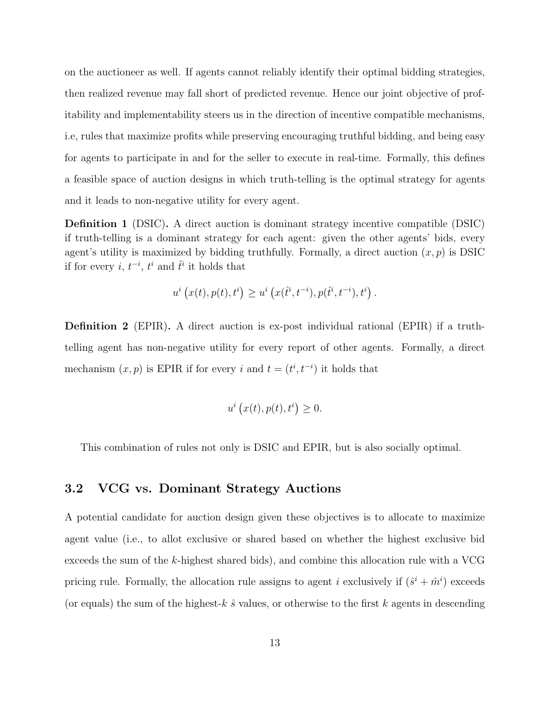on the auctioneer as well. If agents cannot reliably identify their optimal bidding strategies, then realized revenue may fall short of predicted revenue. Hence our joint objective of profitability and implementability steers us in the direction of incentive compatible mechanisms, i.e, rules that maximize profits while preserving encouraging truthful bidding, and being easy for agents to participate in and for the seller to execute in real-time. Formally, this defines a feasible space of auction designs in which truth-telling is the optimal strategy for agents and it leads to non-negative utility for every agent.

Definition 1 (DSIC). A direct auction is dominant strategy incentive compatible (DSIC) if truth-telling is a dominant strategy for each agent: given the other agents' bids, every agent's utility is maximized by bidding truthfully. Formally, a direct auction  $(x, p)$  is DSIC if for every *i*,  $t^{-i}$ ,  $t^{i}$  and  $\hat{t}^{i}$  it holds that

$$
u^{i}(x(t), p(t), t^{i}) \geq u^{i}(x(\hat{t}^{i}, t^{-i}), p(\hat{t}^{i}, t^{-i}), t^{i}).
$$

Definition 2 (EPIR). A direct auction is ex-post individual rational (EPIR) if a truthtelling agent has non-negative utility for every report of other agents. Formally, a direct mechanism  $(x, p)$  is EPIR if for every i and  $t = (t^i, t^{-i})$  it holds that

$$
u^{i}(x(t), p(t), t^{i}) \geq 0.
$$

This combination of rules not only is DSIC and EPIR, but is also socially optimal.

#### 3.2 VCG vs. Dominant Strategy Auctions

A potential candidate for auction design given these objectives is to allocate to maximize agent value (i.e., to allot exclusive or shared based on whether the highest exclusive bid exceeds the sum of the k-highest shared bids), and combine this allocation rule with a VCG pricing rule. Formally, the allocation rule assigns to agent *i* exclusively if  $(\hat{s}^i + \hat{m}^i)$  exceeds (or equals) the sum of the highest-k  $\hat{s}$  values, or otherwise to the first k agents in descending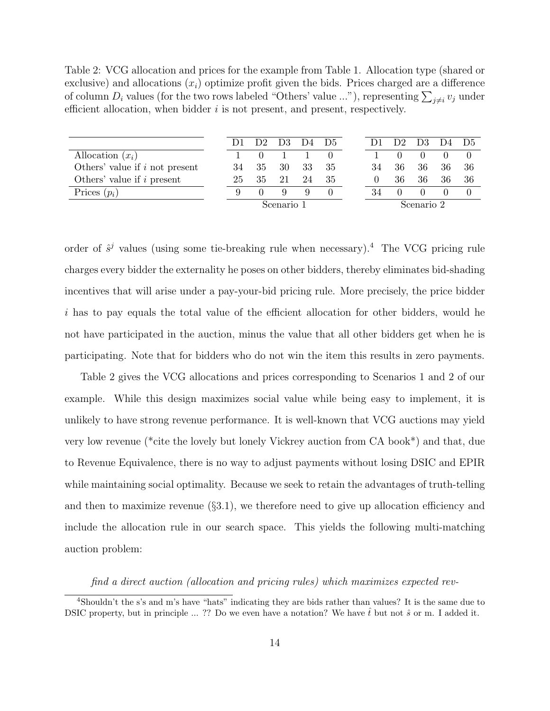Table 2: VCG allocation and prices for the example from Table 1. Allocation type (shared or exclusive) and allocations  $(x_i)$  optimize profit given the bids. Prices charged are a difference of column  $D_i$  values (for the two rows labeled "Others' value ..."), representing  $\sum_{j\neq i}v_j$  under efficient allocation, when bidder  $i$  is not present, and present, respectively.

|                                  | 1)1        | D <sub>2</sub> | D <sub>3</sub> | D4 | D5 |            | D2               | D <sub>3</sub> | D4 D5 |     |
|----------------------------------|------------|----------------|----------------|----|----|------------|------------------|----------------|-------|-----|
| Allocation $(x_i)$               |            |                |                |    |    |            |                  |                |       |     |
| Others' value if $i$ not present | 34         | 35             | 30             | 33 | 35 | 34         | 36               | 36             | 36    | -36 |
| Others' value if $i$ present     | 25         | 35             | 21             | 24 | 35 |            | 36               | 36             | 36    | -36 |
| Prices $(p_i)$                   |            |                | Q              |    |    | 34         | $\left( \right)$ |                |       |     |
|                                  | Scenario 1 |                |                |    |    | Scenario 2 |                  |                |       |     |

order of  $\hat{s}^j$  values (using some tie-breaking rule when necessary).<sup>4</sup> The VCG pricing rule charges every bidder the externality he poses on other bidders, thereby eliminates bid-shading incentives that will arise under a pay-your-bid pricing rule. More precisely, the price bidder i has to pay equals the total value of the efficient allocation for other bidders, would he not have participated in the auction, minus the value that all other bidders get when he is participating. Note that for bidders who do not win the item this results in zero payments.

Table 2 gives the VCG allocations and prices corresponding to Scenarios 1 and 2 of our example. While this design maximizes social value while being easy to implement, it is unlikely to have strong revenue performance. It is well-known that VCG auctions may yield very low revenue (\*cite the lovely but lonely Vickrey auction from CA book\*) and that, due to Revenue Equivalence, there is no way to adjust payments without losing DSIC and EPIR while maintaining social optimality. Because we seek to retain the advantages of truth-telling and then to maximize revenue  $(\S3.1)$ , we therefore need to give up allocation efficiency and include the allocation rule in our search space. This yields the following multi-matching auction problem:

find a direct auction (allocation and pricing rules) which maximizes expected rev-

<sup>&</sup>lt;sup>4</sup>Shouldn't the s's and m's have "hats" indicating they are bids rather than values? It is the same due to DSIC property, but in principle ... ?? Do we even have a notation? We have  $\hat{t}$  but not  $\hat{s}$  or m. I added it.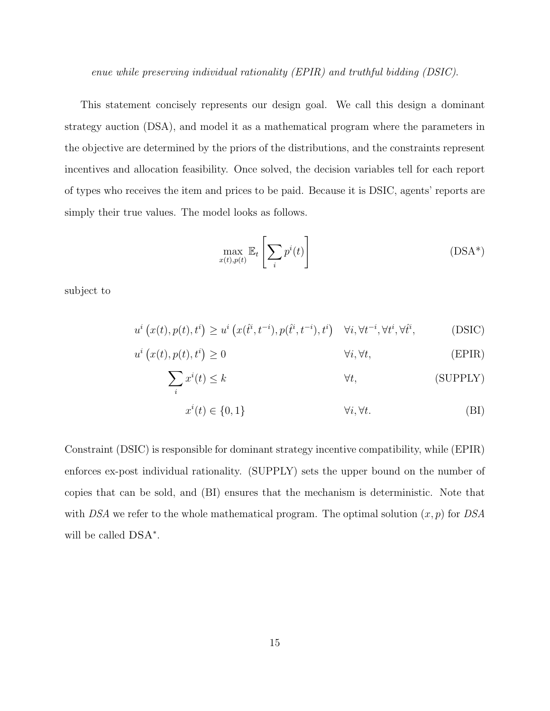enue while preserving individual rationality (EPIR) and truthful bidding (DSIC).

This statement concisely represents our design goal. We call this design a dominant strategy auction (DSA), and model it as a mathematical program where the parameters in the objective are determined by the priors of the distributions, and the constraints represent incentives and allocation feasibility. Once solved, the decision variables tell for each report of types who receives the item and prices to be paid. Because it is DSIC, agents' reports are simply their true values. The model looks as follows.

$$
\max_{x(t),p(t)} \mathbb{E}_t \left[ \sum_i p^i(t) \right] \tag{DSA*}
$$

subject to

$$
u^{i}\left(x(t),p(t),t^{i}\right) \geq u^{i}\left(x(\hat{t}^{i},t^{-i}),p(\hat{t}^{i},t^{-i}),t^{i}\right) \quad \forall i,\forall t^{-i},\forall t^{i},\forall \hat{t}^{i},\tag{DSIC}
$$

$$
u^{i}\left(x(t), p(t), t^{i}\right) \ge 0 \qquad \qquad \forall i, \forall t,
$$
 (EPIR)

$$
\sum_{i} x^{i}(t) \leq k \qquad \qquad \forall t,
$$
\n(SUPPLY)

$$
x^{i}(t) \in \{0, 1\} \qquad \qquad \forall i, \forall t. \tag{BI}
$$

Constraint (DSIC) is responsible for dominant strategy incentive compatibility, while (EPIR) enforces ex-post individual rationality. (SUPPLY) sets the upper bound on the number of copies that can be sold, and (BI) ensures that the mechanism is deterministic. Note that with DSA we refer to the whole mathematical program. The optimal solution  $(x, p)$  for DSA will be called  $DSA^*$ .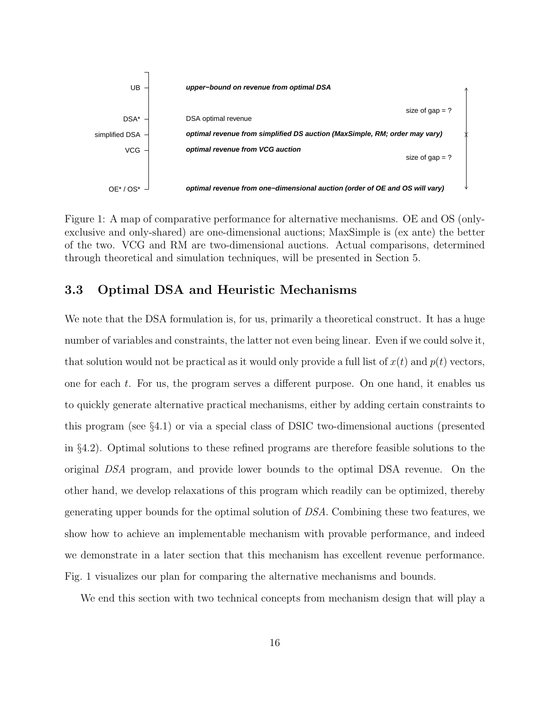

Figure 1: A map of comparative performance for alternative mechanisms. OE and OS (onlyexclusive and only-shared) are one-dimensional auctions; MaxSimple is (ex ante) the better of the two. VCG and RM are two-dimensional auctions. Actual comparisons, determined through theoretical and simulation techniques, will be presented in Section 5.

### 3.3 Optimal DSA and Heuristic Mechanisms

We note that the DSA formulation is, for us, primarily a theoretical construct. It has a huge number of variables and constraints, the latter not even being linear. Even if we could solve it, that solution would not be practical as it would only provide a full list of  $x(t)$  and  $p(t)$  vectors, one for each t. For us, the program serves a different purpose. On one hand, it enables us to quickly generate alternative practical mechanisms, either by adding certain constraints to this program (see §4.1) or via a special class of DSIC two-dimensional auctions (presented in §4.2). Optimal solutions to these refined programs are therefore feasible solutions to the original DSA program, and provide lower bounds to the optimal DSA revenue. On the other hand, we develop relaxations of this program which readily can be optimized, thereby generating upper bounds for the optimal solution of DSA. Combining these two features, we show how to achieve an implementable mechanism with provable performance, and indeed we demonstrate in a later section that this mechanism has excellent revenue performance. Fig. 1 visualizes our plan for comparing the alternative mechanisms and bounds.

We end this section with two technical concepts from mechanism design that will play a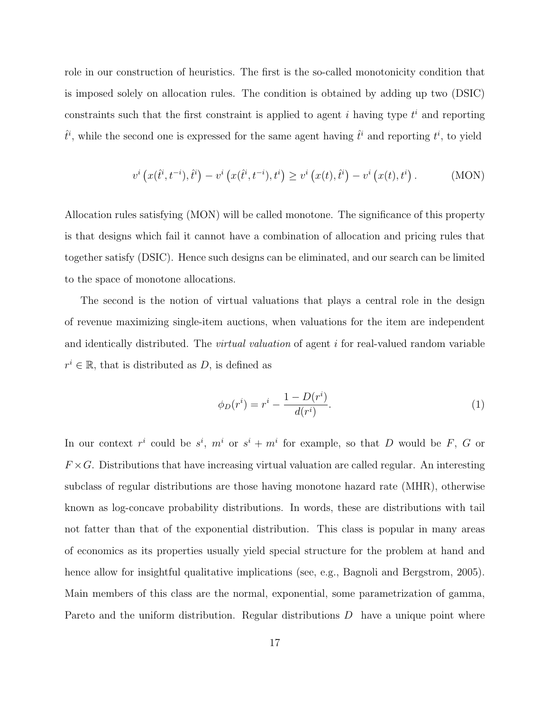role in our construction of heuristics. The first is the so-called monotonicity condition that is imposed solely on allocation rules. The condition is obtained by adding up two (DSIC) constraints such that the first constraint is applied to agent  $i$  having type  $t^i$  and reporting  $\hat{t}^i$ , while the second one is expressed for the same agent having  $\hat{t}^i$  and reporting  $t^i$ , to yield

$$
v^{i}\left(x(t^{i},t^{-i}),\hat{t}^{i}\right) - v^{i}\left(x(t^{i},t^{-i}),t^{i}\right) \geq v^{i}\left(x(t),\hat{t}^{i}\right) - v^{i}\left(x(t),t^{i}\right). \tag{MON}
$$

Allocation rules satisfying (MON) will be called monotone. The significance of this property is that designs which fail it cannot have a combination of allocation and pricing rules that together satisfy (DSIC). Hence such designs can be eliminated, and our search can be limited to the space of monotone allocations.

The second is the notion of virtual valuations that plays a central role in the design of revenue maximizing single-item auctions, when valuations for the item are independent and identically distributed. The *virtual valuation* of agent i for real-valued random variable  $r^i \in \mathbb{R}$ , that is distributed as D, is defined as

$$
\phi_D(r^i) = r^i - \frac{1 - D(r^i)}{d(r^i)}.
$$
\n(1)

In our context  $r^i$  could be  $s^i$ ,  $m^i$  or  $s^i + m^i$  for example, so that D would be F, G or  $F \times G$ . Distributions that have increasing virtual valuation are called regular. An interesting subclass of regular distributions are those having monotone hazard rate (MHR), otherwise known as log-concave probability distributions. In words, these are distributions with tail not fatter than that of the exponential distribution. This class is popular in many areas of economics as its properties usually yield special structure for the problem at hand and hence allow for insightful qualitative implications (see, e.g., Bagnoli and Bergstrom, 2005). Main members of this class are the normal, exponential, some parametrization of gamma, Pareto and the uniform distribution. Regular distributions D have a unique point where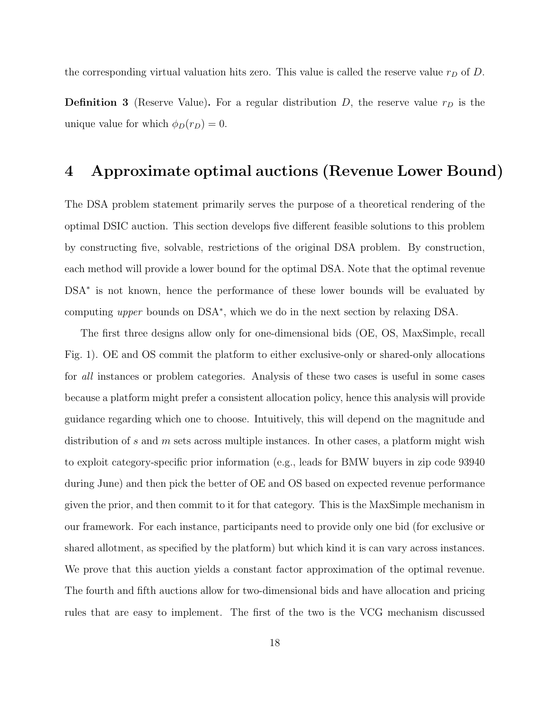the corresponding virtual valuation hits zero. This value is called the reserve value  $r_D$  of D.

**Definition 3** (Reserve Value). For a regular distribution  $D$ , the reserve value  $r_D$  is the unique value for which  $\phi_D(r_D) = 0$ .

## 4 Approximate optimal auctions (Revenue Lower Bound)

The DSA problem statement primarily serves the purpose of a theoretical rendering of the optimal DSIC auction. This section develops five different feasible solutions to this problem by constructing five, solvable, restrictions of the original DSA problem. By construction, each method will provide a lower bound for the optimal DSA. Note that the optimal revenue DSA<sup>\*</sup> is not known, hence the performance of these lower bounds will be evaluated by computing upper bounds on DSA<sup>∗</sup> , which we do in the next section by relaxing DSA.

The first three designs allow only for one-dimensional bids (OE, OS, MaxSimple, recall Fig. 1). OE and OS commit the platform to either exclusive-only or shared-only allocations for all instances or problem categories. Analysis of these two cases is useful in some cases because a platform might prefer a consistent allocation policy, hence this analysis will provide guidance regarding which one to choose. Intuitively, this will depend on the magnitude and distribution of s and m sets across multiple instances. In other cases, a platform might wish to exploit category-specific prior information (e.g., leads for BMW buyers in zip code 93940 during June) and then pick the better of OE and OS based on expected revenue performance given the prior, and then commit to it for that category. This is the MaxSimple mechanism in our framework. For each instance, participants need to provide only one bid (for exclusive or shared allotment, as specified by the platform) but which kind it is can vary across instances. We prove that this auction yields a constant factor approximation of the optimal revenue. The fourth and fifth auctions allow for two-dimensional bids and have allocation and pricing rules that are easy to implement. The first of the two is the VCG mechanism discussed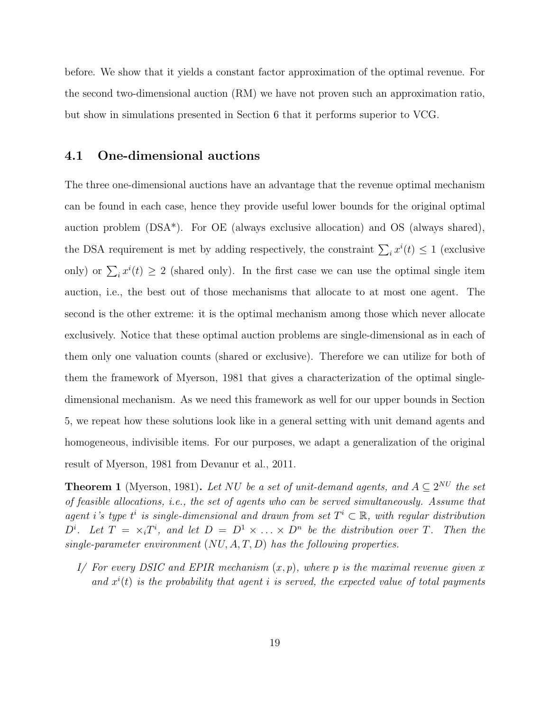before. We show that it yields a constant factor approximation of the optimal revenue. For the second two-dimensional auction (RM) we have not proven such an approximation ratio, but show in simulations presented in Section 6 that it performs superior to VCG.

#### 4.1 One-dimensional auctions

The three one-dimensional auctions have an advantage that the revenue optimal mechanism can be found in each case, hence they provide useful lower bounds for the original optimal auction problem (DSA\*). For OE (always exclusive allocation) and OS (always shared), the DSA requirement is met by adding respectively, the constraint  $\sum_i x^i(t) \leq 1$  (exclusive only) or  $\sum_i x^i(t) \geq 2$  (shared only). In the first case we can use the optimal single item auction, i.e., the best out of those mechanisms that allocate to at most one agent. The second is the other extreme: it is the optimal mechanism among those which never allocate exclusively. Notice that these optimal auction problems are single-dimensional as in each of them only one valuation counts (shared or exclusive). Therefore we can utilize for both of them the framework of Myerson, 1981 that gives a characterization of the optimal singledimensional mechanism. As we need this framework as well for our upper bounds in Section 5, we repeat how these solutions look like in a general setting with unit demand agents and homogeneous, indivisible items. For our purposes, we adapt a generalization of the original result of Myerson, 1981 from Devanur et al., 2011.

**Theorem 1** (Myerson, 1981). Let NU be a set of unit-demand agents, and  $A \subseteq 2^{NU}$  the set of feasible allocations, i.e., the set of agents who can be served simultaneously. Assume that agent i's type  $t^i$  is single-dimensional and drawn from set  $T^i \subset \mathbb{R}$ , with regular distribution  $D^i$ . Let  $T = \times_i T^i$ , and let  $D = D^1 \times \ldots \times D^n$  be the distribution over T. Then the single-parameter environment  $(NU, A, T, D)$  has the following properties.

I/ For every DSIC and EPIR mechanism  $(x, p)$ , where p is the maximal revenue given x and  $x^{i}(t)$  is the probability that agent i is served, the expected value of total payments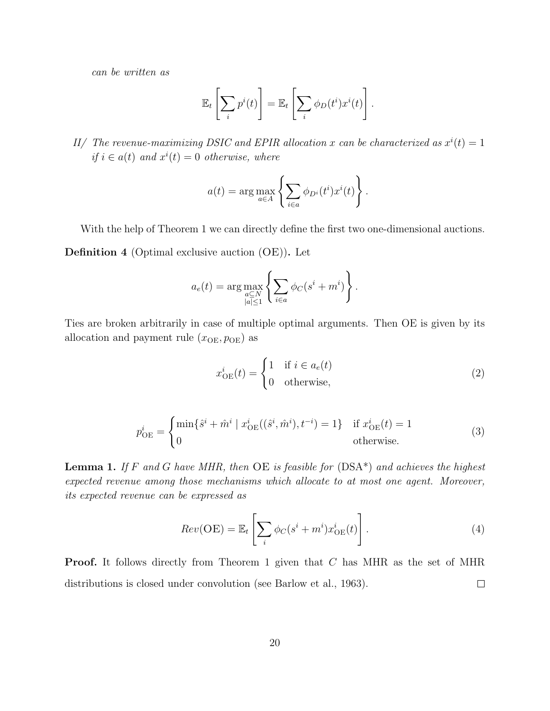can be written as

$$
\mathbb{E}_t\left[\sum_i p^i(t)\right] = \mathbb{E}_t\left[\sum_i \phi_D(t^i) x^i(t)\right].
$$

II/ The revenue-maximizing DSIC and EPIR allocation x can be characterized as  $x^{i}(t) = 1$ if  $i \in a(t)$  and  $x^{i}(t) = 0$  otherwise, where

$$
a(t) = \arg \max_{a \in A} \left\{ \sum_{i \in a} \phi_{D^i}(t^i) x^i(t) \right\}.
$$

With the help of Theorem 1 we can directly define the first two one-dimensional auctions.

Definition 4 (Optimal exclusive auction (OE)). Let

$$
a_e(t) = \arg \max_{\substack{a \subseteq N \\ |a| \le 1}} \left\{ \sum_{i \in a} \phi_C(s^i + m^i) \right\}.
$$

Ties are broken arbitrarily in case of multiple optimal arguments. Then OE is given by its allocation and payment rule  $(x_{OE}, p_{OE})$  as

$$
x_{\text{OE}}^i(t) = \begin{cases} 1 & \text{if } i \in a_e(t) \\ 0 & \text{otherwise,} \end{cases} \tag{2}
$$

$$
p_{\text{OE}}^{i} = \begin{cases} \min\{\hat{s}^{i} + \hat{m}^{i} \mid x_{\text{OE}}^{i}((\hat{s}^{i}, \hat{m}^{i}), t^{-i}) = 1\} & \text{if } x_{\text{OE}}^{i}(t) = 1\\ 0 & \text{otherwise.} \end{cases}
$$
(3)

**Lemma 1.** If F and G have MHR, then  $OE$  is feasible for  $(DSA^*)$  and achieves the highest expected revenue among those mechanisms which allocate to at most one agent. Moreover, its expected revenue can be expressed as

$$
Rev(OE) = \mathbb{E}_t \left[ \sum_i \phi_C(s^i + m^i) x^i_{OE}(t) \right]. \tag{4}
$$

Proof. It follows directly from Theorem 1 given that C has MHR as the set of MHR distributions is closed under convolution (see Barlow et al., 1963).  $\Box$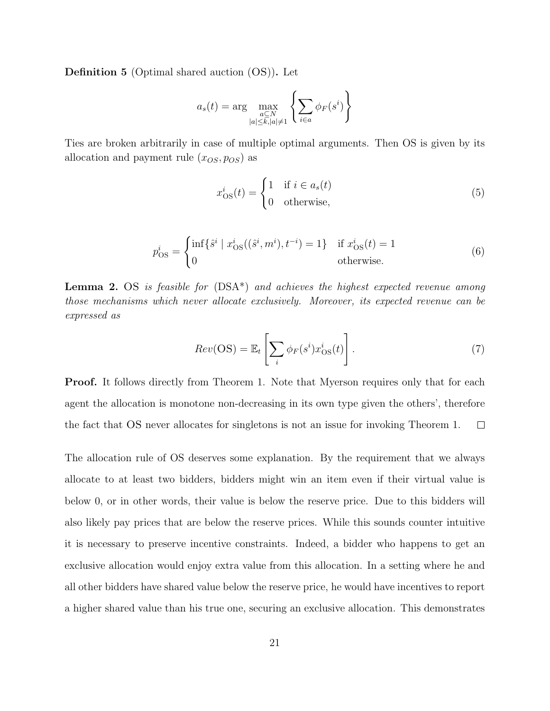Definition 5 (Optimal shared auction (OS)). Let

$$
a_s(t) = \arg\max_{\substack{a \subseteq N \\ |a| \le k, |a| \ne 1}} \left\{ \sum_{i \in a} \phi_F(s^i) \right\}
$$

Ties are broken arbitrarily in case of multiple optimal arguments. Then OS is given by its allocation and payment rule  $(x_{OS}, p_{OS})$  as

$$
x_{\text{OS}}^i(t) = \begin{cases} 1 & \text{if } i \in a_s(t) \\ 0 & \text{otherwise,} \end{cases} \tag{5}
$$

$$
p_{\text{OS}}^i = \begin{cases} \inf \{ \hat{s}^i \mid x_{\text{OS}}^i((\hat{s}^i, m^i), t^{-i}) = 1 \} & \text{if } x_{\text{OS}}^i(t) = 1\\ 0 & \text{otherwise.} \end{cases}
$$
(6)

**Lemma 2.** OS is feasible for  $(DSA^*)$  and achieves the highest expected revenue among those mechanisms which never allocate exclusively. Moreover, its expected revenue can be expressed as

$$
Rev(\text{OS}) = \mathbb{E}_t \left[ \sum_i \phi_F(s^i) x^i_{\text{OS}}(t) \right]. \tag{7}
$$

**Proof.** It follows directly from Theorem 1. Note that Myerson requires only that for each agent the allocation is monotone non-decreasing in its own type given the others', therefore the fact that OS never allocates for singletons is not an issue for invoking Theorem 1.  $\Box$ 

The allocation rule of OS deserves some explanation. By the requirement that we always allocate to at least two bidders, bidders might win an item even if their virtual value is below 0, or in other words, their value is below the reserve price. Due to this bidders will also likely pay prices that are below the reserve prices. While this sounds counter intuitive it is necessary to preserve incentive constraints. Indeed, a bidder who happens to get an exclusive allocation would enjoy extra value from this allocation. In a setting where he and all other bidders have shared value below the reserve price, he would have incentives to report a higher shared value than his true one, securing an exclusive allocation. This demonstrates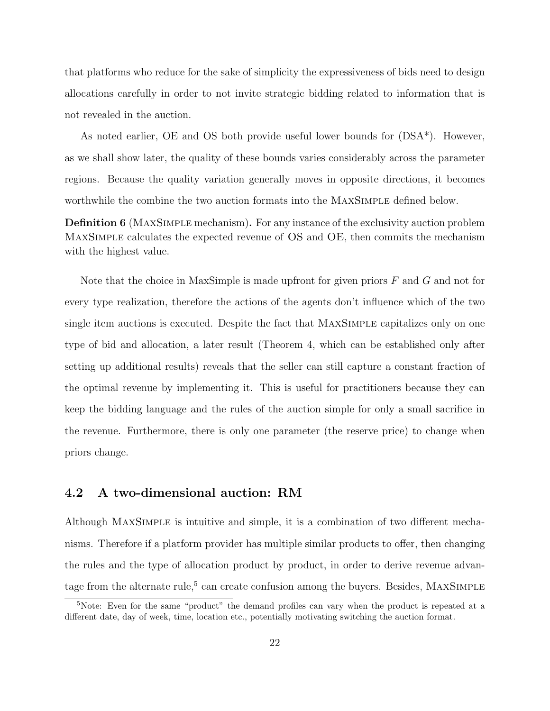that platforms who reduce for the sake of simplicity the expressiveness of bids need to design allocations carefully in order to not invite strategic bidding related to information that is not revealed in the auction.

As noted earlier, OE and OS both provide useful lower bounds for (DSA\*). However, as we shall show later, the quality of these bounds varies considerably across the parameter regions. Because the quality variation generally moves in opposite directions, it becomes worthwhile the combine the two auction formats into the MAXSIMPLE defined below.

Definition 6 (MaxSimple mechanism). For any instance of the exclusivity auction problem MaxSimple calculates the expected revenue of OS and OE, then commits the mechanism with the highest value.

Note that the choice in MaxSimple is made upfront for given priors  $F$  and  $G$  and not for every type realization, therefore the actions of the agents don't influence which of the two single item auctions is executed. Despite the fact that MaxSimple capitalizes only on one type of bid and allocation, a later result (Theorem 4, which can be established only after setting up additional results) reveals that the seller can still capture a constant fraction of the optimal revenue by implementing it. This is useful for practitioners because they can keep the bidding language and the rules of the auction simple for only a small sacrifice in the revenue. Furthermore, there is only one parameter (the reserve price) to change when priors change.

### 4.2 A two-dimensional auction: RM

Although MaxSimple is intuitive and simple, it is a combination of two different mechanisms. Therefore if a platform provider has multiple similar products to offer, then changing the rules and the type of allocation product by product, in order to derive revenue advantage from the alternate rule,<sup>5</sup> can create confusion among the buyers. Besides,  $MAXSimple$ 

<sup>&</sup>lt;sup>5</sup>Note: Even for the same "product" the demand profiles can vary when the product is repeated at a different date, day of week, time, location etc., potentially motivating switching the auction format.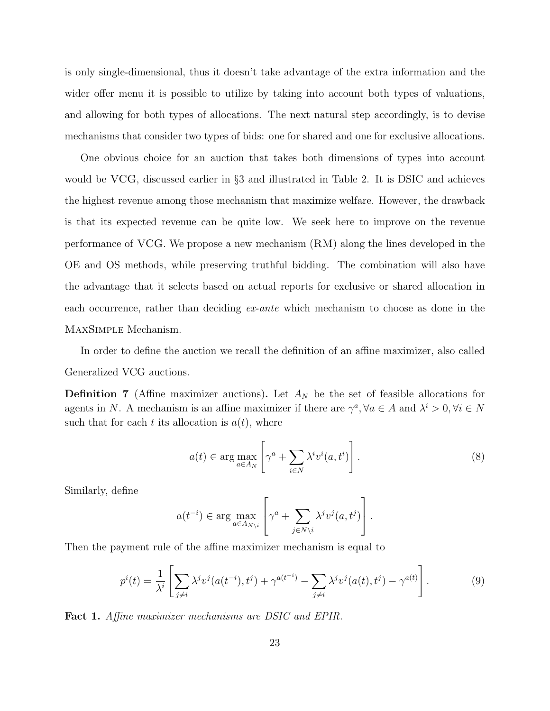is only single-dimensional, thus it doesn't take advantage of the extra information and the wider offer menu it is possible to utilize by taking into account both types of valuations, and allowing for both types of allocations. The next natural step accordingly, is to devise mechanisms that consider two types of bids: one for shared and one for exclusive allocations.

One obvious choice for an auction that takes both dimensions of types into account would be VCG, discussed earlier in §3 and illustrated in Table 2. It is DSIC and achieves the highest revenue among those mechanism that maximize welfare. However, the drawback is that its expected revenue can be quite low. We seek here to improve on the revenue performance of VCG. We propose a new mechanism (RM) along the lines developed in the OE and OS methods, while preserving truthful bidding. The combination will also have the advantage that it selects based on actual reports for exclusive or shared allocation in each occurrence, rather than deciding ex-ante which mechanism to choose as done in the MaxSimple Mechanism.

In order to define the auction we recall the definition of an affine maximizer, also called Generalized VCG auctions.

**Definition 7** (Affine maximizer auctions). Let  $A_N$  be the set of feasible allocations for agents in N. A mechanism is an affine maximizer if there are  $\gamma^a, \forall a \in A$  and  $\lambda^i > 0, \forall i \in N$ such that for each t its allocation is  $a(t)$ , where

$$
a(t) \in \arg\max_{a \in A_N} \left[ \gamma^a + \sum_{i \in N} \lambda^i v^i(a, t^i) \right]. \tag{8}
$$

Similarly, define

$$
a(t^{-i}) \in \arg \max_{a \in A_{N\setminus i}} \left[ \gamma^a + \sum_{j \in N\setminus i} \lambda^j v^j(a, t^j) \right].
$$

Then the payment rule of the affine maximizer mechanism is equal to

$$
p^{i}(t) = \frac{1}{\lambda^{i}} \left[ \sum_{j \neq i} \lambda^{j} v^{j} (a(t^{-i}), t^{j}) + \gamma^{a(t^{-i})} - \sum_{j \neq i} \lambda^{j} v^{j} (a(t), t^{j}) - \gamma^{a(t)} \right].
$$
 (9)

Fact 1. Affine maximizer mechanisms are DSIC and EPIR.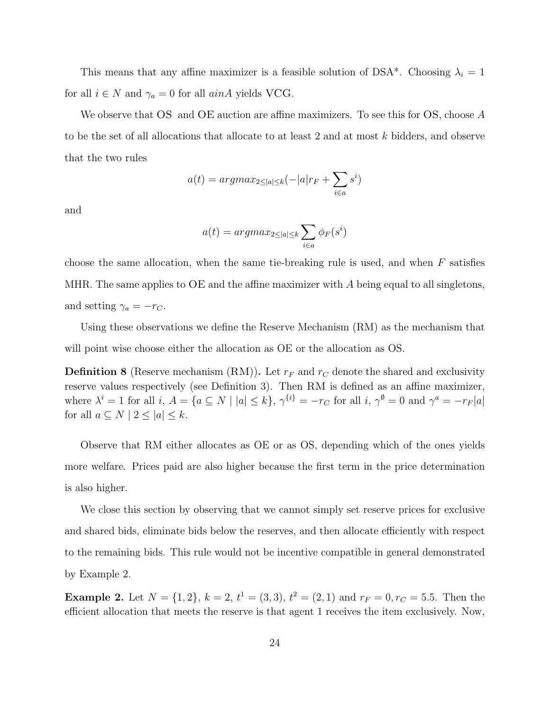This means that any affine maximizer is a feasible solution of DSA\*. Choosing  $\lambda_i = 1$ for all  $i \in N$  and  $\gamma_a = 0$  for all  $ainA$  yields VCG.

We observe that OS and OE auction are affine maximizers. To see this for OS, choose A to be the set of all allocations that allocate to at least 2 and at most k bidders, and observe that the two rules

$$
a(t) = argmax_{2 \le |a| \le k} (-|a|r_F + \sum_{i \in a} s^i)
$$

and

$$
a(t) = argmax_{2 \leq |a| \leq k} \sum_{i \in a} \phi_F(s^i)
$$

choose the same allocation, when the same tie-breaking rule is used, and when  $F$  satisfies MHR. The same applies to  $\overline{OE}$  and the affine maximizer with A being equal to all singletons, and setting  $\gamma_a = -r_C$ .

Using these observations we define the Reserve Mechanism (RM) as the mechanism that will point wise choose either the allocation as OE or the allocation as OS.

**Definition 8** (Reserve mechanism (RM)). Let  $r_F$  and  $r_C$  denote the shared and exclusivity reserve values respectively (see Definition 3). Then RM is defined as an affine maximizer, where  $\lambda^i = 1$  for all  $i, A = \{a \subseteq N \mid |a| \le k\}, \gamma^{\{i\}} = -r_C$  for all  $i, \gamma^{\emptyset} = 0$  and  $\gamma^a = -r_F |a|$ for all  $a \subseteq N \mid 2 \leq |a| \leq k$ .

Observe that RM either allocates as OE or as OS, depending which of the ones yields more welfare. Prices paid are also higher because the first term in the price determination is also higher.

We close this section by observing that we cannot simply set reserve prices for exclusive and shared bids, eliminate bids below the reserves, and then allocate efficiently with respect to the remaining bids. This rule would not be incentive compatible in general demonstrated by Example 2.

**Example 2.** Let  $N = \{1, 2\}$ ,  $k = 2$ ,  $t^1 = (3, 3)$ ,  $t^2 = (2, 1)$  and  $r_F = 0$ ,  $r_C = 5.5$ . Then the efficient allocation that meets the reserve is that agent 1 receives the item exclusively. Now,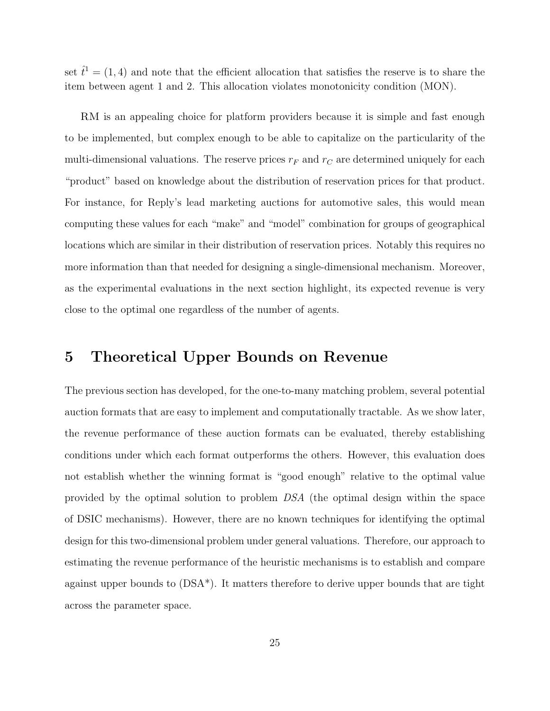set  $\hat{t}^1 = (1, 4)$  and note that the efficient allocation that satisfies the reserve is to share the item between agent 1 and 2. This allocation violates monotonicity condition (MON).

RM is an appealing choice for platform providers because it is simple and fast enough to be implemented, but complex enough to be able to capitalize on the particularity of the multi-dimensional valuations. The reserve prices  $r_F$  and  $r_C$  are determined uniquely for each "product" based on knowledge about the distribution of reservation prices for that product. For instance, for Reply's lead marketing auctions for automotive sales, this would mean computing these values for each "make" and "model" combination for groups of geographical locations which are similar in their distribution of reservation prices. Notably this requires no more information than that needed for designing a single-dimensional mechanism. Moreover, as the experimental evaluations in the next section highlight, its expected revenue is very close to the optimal one regardless of the number of agents.

### 5 Theoretical Upper Bounds on Revenue

The previous section has developed, for the one-to-many matching problem, several potential auction formats that are easy to implement and computationally tractable. As we show later, the revenue performance of these auction formats can be evaluated, thereby establishing conditions under which each format outperforms the others. However, this evaluation does not establish whether the winning format is "good enough" relative to the optimal value provided by the optimal solution to problem DSA (the optimal design within the space of DSIC mechanisms). However, there are no known techniques for identifying the optimal design for this two-dimensional problem under general valuations. Therefore, our approach to estimating the revenue performance of the heuristic mechanisms is to establish and compare against upper bounds to (DSA\*). It matters therefore to derive upper bounds that are tight across the parameter space.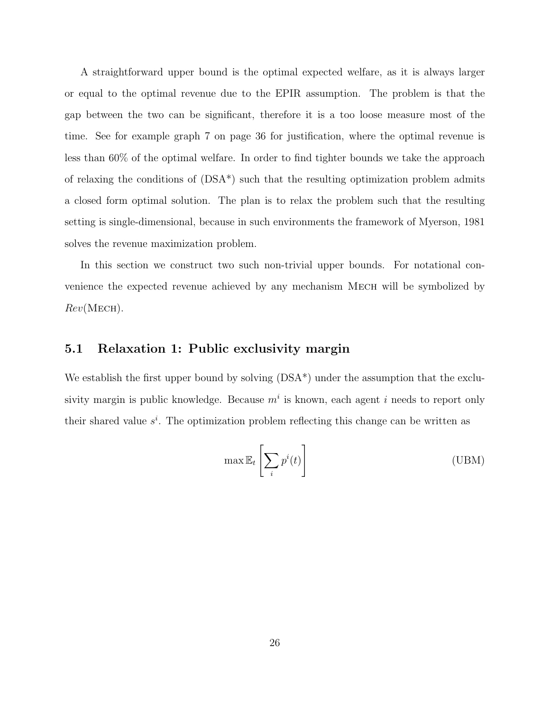A straightforward upper bound is the optimal expected welfare, as it is always larger or equal to the optimal revenue due to the EPIR assumption. The problem is that the gap between the two can be significant, therefore it is a too loose measure most of the time. See for example graph 7 on page 36 for justification, where the optimal revenue is less than 60% of the optimal welfare. In order to find tighter bounds we take the approach of relaxing the conditions of (DSA\*) such that the resulting optimization problem admits a closed form optimal solution. The plan is to relax the problem such that the resulting setting is single-dimensional, because in such environments the framework of Myerson, 1981 solves the revenue maximization problem.

In this section we construct two such non-trivial upper bounds. For notational convenience the expected revenue achieved by any mechanism MECH will be symbolized by  $Rev(MECH)$ .

#### 5.1 Relaxation 1: Public exclusivity margin

We establish the first upper bound by solving  $(DSA^*)$  under the assumption that the exclusivity margin is public knowledge. Because  $m<sup>i</sup>$  is known, each agent i needs to report only their shared value  $s^i$ . The optimization problem reflecting this change can be written as

$$
\max \mathbb{E}_t \left[ \sum_i p^i(t) \right] \tag{UBM}
$$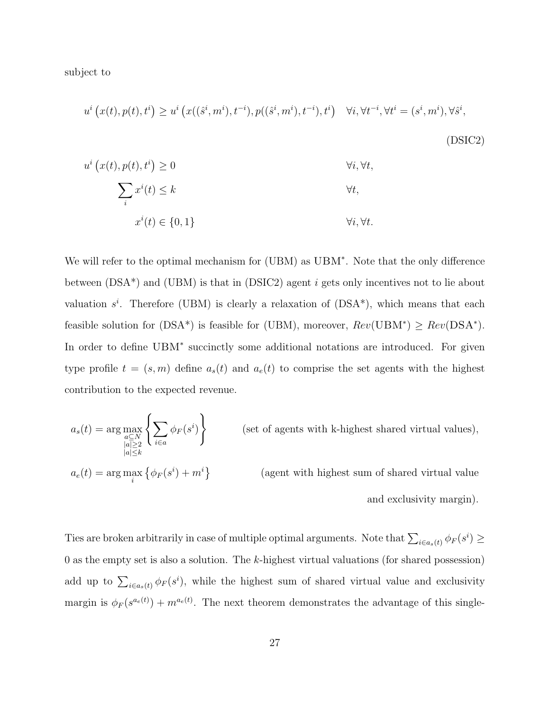subject to

$$
u^{i}\left(x(t),p(t),t^{i}\right) \geq u^{i}\left(x((\hat{s}^{i},m^{i}),t^{-i}),p((\hat{s}^{i},m^{i}),t^{-i}),t^{i}\right) \quad \forall i,\forall t^{-i},\forall t^{i}=(s^{i},m^{i}),\forall \hat{s}^{i},
$$
\n(DSTC2)

$$
u^{i}(x(t), p(t), t^{i}) \ge 0
$$
  

$$
\sum_{i} x^{i}(t) \le k \qquad \forall t,
$$
  

$$
x^{i}(t) \in \{0, 1\}
$$
  

$$
\forall i, \forall t.
$$

We will refer to the optimal mechanism for (UBM) as UBM<sup>∗</sup> . Note that the only difference between  $(DSA^*)$  and  $(UBM)$  is that in  $(DSIC2)$  agent i gets only incentives not to lie about valuation  $s^i$ . Therefore (UBM) is clearly a relaxation of  $(DSA^*)$ , which means that each feasible solution for (DSA<sup>\*</sup>) is feasible for (UBM), moreover,  $Rev(UBM^*) \geq Rev(DSA^*)$ . In order to define UBM<sup>\*</sup> succinctly some additional notations are introduced. For given type profile  $t = (s, m)$  define  $a_s(t)$  and  $a_e(t)$  to comprise the set agents with the highest contribution to the expected revenue.

$$
a_s(t) = \arg\max_{\substack{a \subseteq N \\ |a| \ge t \\ a_e(t) = \arg\max_i} \left\{ \sum_{i \in a} \phi_F(s^i) + m^i \right\}
$$
 (set of agents with k-highest shared virtual values),  

$$
a_e(t) = \arg\max_i \left\{ \phi_F(s^i) + m^i \right\}
$$
 (agent with highest sum of shared virtual value and exclusivity margin).

Ties are broken arbitrarily in case of multiple optimal arguments. Note that  $\sum_{i\in a_s(t)} \phi_F(s^i) \ge$ 0 as the empty set is also a solution. The  $k$ -highest virtual valuations (for shared possession) add up to  $\sum_{i\in a_s(t)} \phi_F(s^i)$ , while the highest sum of shared virtual value and exclusivity margin is  $\phi_F(s^{a_e(t)}) + m^{a_e(t)}$ . The next theorem demonstrates the advantage of this single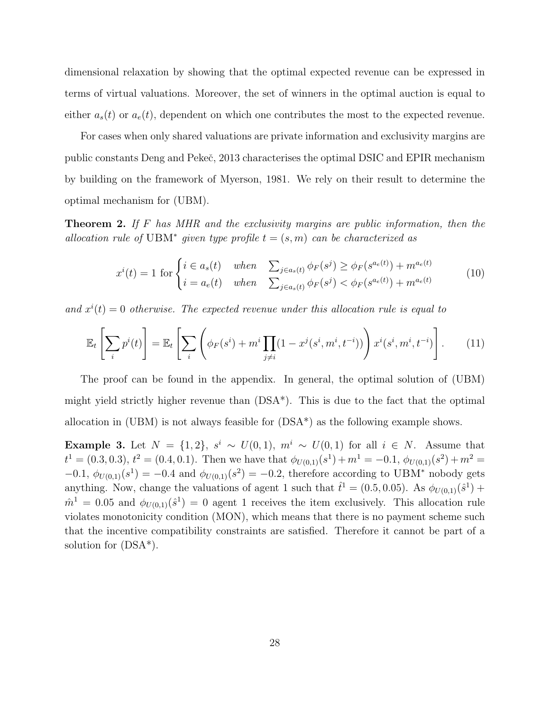dimensional relaxation by showing that the optimal expected revenue can be expressed in terms of virtual valuations. Moreover, the set of winners in the optimal auction is equal to either  $a_s(t)$  or  $a_e(t)$ , dependent on which one contributes the most to the expected revenue.

For cases when only shared valuations are private information and exclusivity margins are public constants Deng and Pekeˇc, 2013 characterises the optimal DSIC and EPIR mechanism by building on the framework of Myerson, 1981. We rely on their result to determine the optimal mechanism for (UBM).

**Theorem 2.** If F has MHR and the exclusivity margins are public information, then the allocation rule of UBM<sup>\*</sup> given type profile  $t = (s, m)$  can be characterized as

$$
x^{i}(t) = 1 \text{ for } \begin{cases} i \in a_{s}(t) & when & \sum_{j \in a_{s}(t)} \phi_{F}(s^{j}) \geq \phi_{F}(s^{a_{e}(t)}) + m^{a_{e}(t)} \\ i = a_{e}(t) & when & \sum_{j \in a_{s}(t)} \phi_{F}(s^{j}) < \phi_{F}(s^{a_{e}(t)}) + m^{a_{e}(t)} \end{cases}
$$
(10)

and  $x^{i}(t) = 0$  otherwise. The expected revenue under this allocation rule is equal to

$$
\mathbb{E}_t\left[\sum_i p^i(t)\right] = \mathbb{E}_t\left[\sum_i \left(\phi_F(s^i) + m^i \prod_{j \neq i} (1 - x^j(s^i, m^i, t^{-i}))\right) x^i(s^i, m^i, t^{-i})\right].
$$
 (11)

The proof can be found in the appendix. In general, the optimal solution of (UBM) might yield strictly higher revenue than (DSA\*). This is due to the fact that the optimal allocation in (UBM) is not always feasible for (DSA\*) as the following example shows.

**Example 3.** Let  $N = \{1, 2\}$ ,  $s^i \sim U(0, 1)$ ,  $m^i \sim U(0, 1)$  for all  $i \in N$ . Assume that  $t^1 = (0.3, 0.3), t^2 = (0.4, 0.1)$ . Then we have that  $\phi_{U(0,1)}(s^1) + m^1 = -0.1, \phi_{U(0,1)}(s^2) + m^2 =$  $-0.1, \ \phi_{U(0,1)}(s^1) = -0.4$  and  $\phi_{U(0,1)}(s^2) = -0.2$ , therefore according to UBM<sup>\*</sup> nobody gets anything. Now, change the valuations of agent 1 such that  $\hat{t}^1 = (0.5, 0.05)$ . As  $\phi_{U(0,1)}(\hat{s}^1)$  +  $\hat{m}^1 = 0.05$  and  $\phi_{U(0,1)}(\hat{s}^1) = 0$  agent 1 receives the item exclusively. This allocation rule violates monotonicity condition (MON), which means that there is no payment scheme such that the incentive compatibility constraints are satisfied. Therefore it cannot be part of a solution for (DSA\*).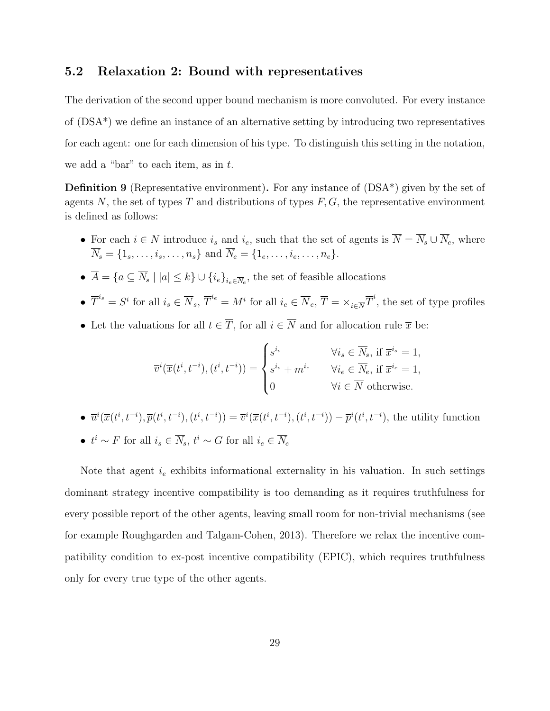### 5.2 Relaxation 2: Bound with representatives

The derivation of the second upper bound mechanism is more convoluted. For every instance of (DSA\*) we define an instance of an alternative setting by introducing two representatives for each agent: one for each dimension of his type. To distinguish this setting in the notation, we add a "bar" to each item, as in  $\bar{t}$ .

**Definition 9** (Representative environment). For any instance of  $(DSA^*)$  given by the set of agents N, the set of types T and distributions of types  $F, G$ , the representative environment is defined as follows:

- For each  $i \in N$  introduce  $i_s$  and  $i_e$ , such that the set of agents is  $\overline{N} = \overline{N}_s \cup \overline{N}_e$ , where  $\overline{N}_s = \{1_s, \ldots, i_s, \ldots, n_s\}$  and  $\overline{N}_e = \{1_e, \ldots, i_e, \ldots, n_e\}.$
- $A = \{a \subseteq N_s \mid |a| \leq k\} \cup \{i_e\}_{i_e \in \overline{N}_e}$ , the set of feasible allocations
- $\overline{T}^{i_s} = S^i$  for all  $i_s \in \overline{N}_s$ ,  $\overline{T}^{i_e} = M^i$  for all  $i_e \in \overline{N}_e$ ,  $\overline{T} = \times_{i \in \overline{N}} \overline{T}^i$ , the set of type profiles
- Let the valuations for all  $t \in \overline{T}$ , for all  $i \in \overline{N}$  and for allocation rule  $\overline{x}$  be:

$$
\overline{v}^{i}(\overline{x}(t^{i}, t^{-i}), (t^{i}, t^{-i})) = \begin{cases} s^{i_{s}} & \forall i_{s} \in \overline{N}_{s}, \text{ if } \overline{x}^{i_{s}} = 1, \\ s^{i_{s}} + m^{i_{e}} & \forall i_{e} \in \overline{N}_{e}, \text{ if } \overline{x}^{i_{e}} = 1, \\ 0 & \forall i \in \overline{N} \text{ otherwise.} \end{cases}
$$

•  $\overline{u}^{i}(\overline{x}(t^{i}, t^{-i}), \overline{p}(t^{i}, t^{-i}), (t^{i}, t^{-i})) = \overline{v}^{i}(\overline{x}(t^{i}, t^{-i}), (t^{i}, t^{-i})) - \overline{p}^{i}(t^{i}, t^{-i}),$  the utility function •  $t^i \sim F$  for all  $i_s \in \overline{N}_s$ ,  $t^i \sim G$  for all  $i_e \in \overline{N}_e$ 

Note that agent  $i_e$  exhibits informational externality in his valuation. In such settings dominant strategy incentive compatibility is too demanding as it requires truthfulness for every possible report of the other agents, leaving small room for non-trivial mechanisms (see for example Roughgarden and Talgam-Cohen, 2013). Therefore we relax the incentive compatibility condition to ex-post incentive compatibility (EPIC), which requires truthfulness only for every true type of the other agents.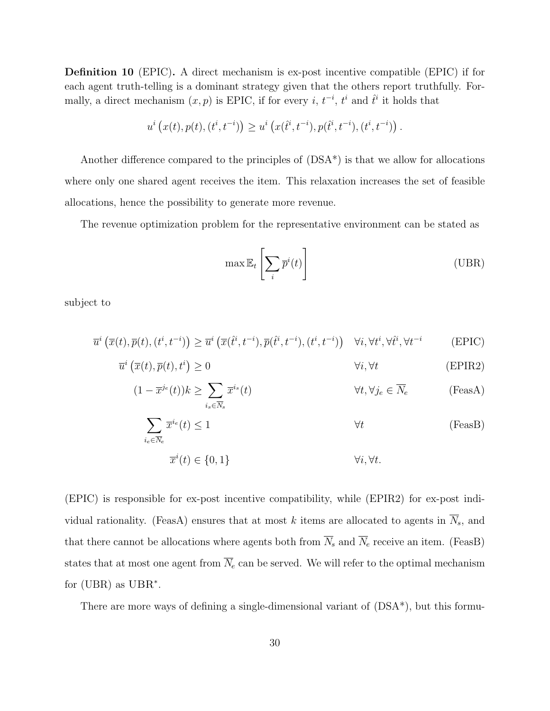Definition 10 (EPIC). A direct mechanism is ex-post incentive compatible (EPIC) if for each agent truth-telling is a dominant strategy given that the others report truthfully. Formally, a direct mechanism  $(x, p)$  is EPIC, if for every i,  $t^{-i}$ ,  $t^{i}$  and  $\hat{t}^{i}$  it holds that

$$
u^{i}(x(t),p(t),(t^{i},t^{-i})) \geq u^{i}(x(\hat{t}^{i},t^{-i}),p(\hat{t}^{i},t^{-i}),(t^{i},t^{-i}))
$$

Another difference compared to the principles of  $(DSA^*)$  is that we allow for allocations where only one shared agent receives the item. This relaxation increases the set of feasible allocations, hence the possibility to generate more revenue.

The revenue optimization problem for the representative environment can be stated as

$$
\max \mathbb{E}_t \left[ \sum_i \overline{p}^i(t) \right] \tag{UBR}
$$

subject to

$$
\overline{u}^{i}\left(\overline{x}(t),\overline{p}(t),(t^{i},t^{-i})\right) \geq \overline{u}^{i}\left(\overline{x}(\hat{t}^{i},t^{-i}),\overline{p}(\hat{t}^{i},t^{-i}),(t^{i},t^{-i})\right) \quad \forall i,\forall t^{i},\forall t^{i},\forall t^{-i}
$$
(EPIC)

$$
\overline{u}^{i}\left(\overline{x}(t),\overline{p}(t),t^{i}\right) \geq 0 \qquad \qquad \forall i,\forall t \qquad (\text{EPIR2})
$$

$$
(1 - \overline{x}^{j_e}(t))k \ge \sum_{i_s \in \overline{N}_s} \overline{x}^{i_s}(t) \qquad \forall t, \forall j_e \in \overline{N}_e \qquad \text{(FeasA)}
$$

$$
\sum_{i_e \in \overline{N}_e} \overline{x}^{i_e}(t) \le 1 \tag{FeasB}
$$

$$
\overline{x}^i(t) \in \{0, 1\} \qquad \forall i, \forall t.
$$

(EPIC) is responsible for ex-post incentive compatibility, while (EPIR2) for ex-post individual rationality. (FeasA) ensures that at most k items are allocated to agents in  $\overline{N}_s$ , and that there cannot be allocations where agents both from  $\overline{N}_s$  and  $\overline{N}_e$  receive an item. (FeasB) states that at most one agent from  $\overline{N}_e$  can be served. We will refer to the optimal mechanism for (UBR) as UBR<sup>\*</sup>.

There are more ways of defining a single-dimensional variant of (DSA\*), but this formu-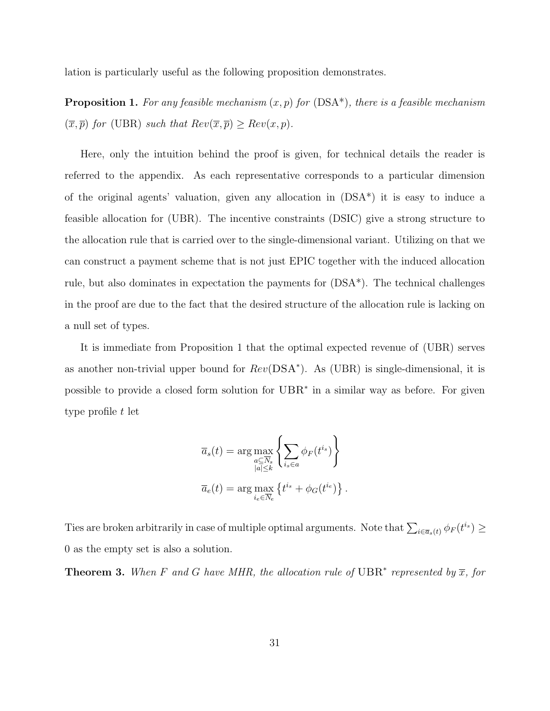lation is particularly useful as the following proposition demonstrates.

**Proposition 1.** For any feasible mechanism  $(x, p)$  for  $(DSA^*)$ , there is a feasible mechanism  $(\overline{x}, \overline{p})$  for (UBR) such that  $Rev(\overline{x}, \overline{p}) \geq Rev(x, p)$ .

Here, only the intuition behind the proof is given, for technical details the reader is referred to the appendix. As each representative corresponds to a particular dimension of the original agents' valuation, given any allocation in (DSA\*) it is easy to induce a feasible allocation for (UBR). The incentive constraints (DSIC) give a strong structure to the allocation rule that is carried over to the single-dimensional variant. Utilizing on that we can construct a payment scheme that is not just EPIC together with the induced allocation rule, but also dominates in expectation the payments for (DSA\*). The technical challenges in the proof are due to the fact that the desired structure of the allocation rule is lacking on a null set of types.

It is immediate from Proposition 1 that the optimal expected revenue of (UBR) serves as another non-trivial upper bound for  $Rev(DSA^*)$ . As (UBR) is single-dimensional, it is possible to provide a closed form solution for  $UBR^*$  in a similar way as before. For given type profile t let

$$
\overline{a}_s(t) = \arg \max_{\substack{a \subseteq \overline{N}_s \\ |a| \le k}} \left\{ \sum_{i_s \in a} \phi_F(t^{i_s}) \right\}
$$

$$
\overline{a}_e(t) = \arg \max_{i_e \in \overline{N}_e} \left\{ t^{i_s} + \phi_G(t^{i_e}) \right\}.
$$

Ties are broken arbitrarily in case of multiple optimal arguments. Note that  $\sum_{i\in\bar{a}_s(t)}\phi_F(t^{i_s})\geq 0$ 0 as the empty set is also a solution.

**Theorem 3.** When F and G have MHR, the allocation rule of UBR<sup>\*</sup> represented by  $\overline{x}$ , for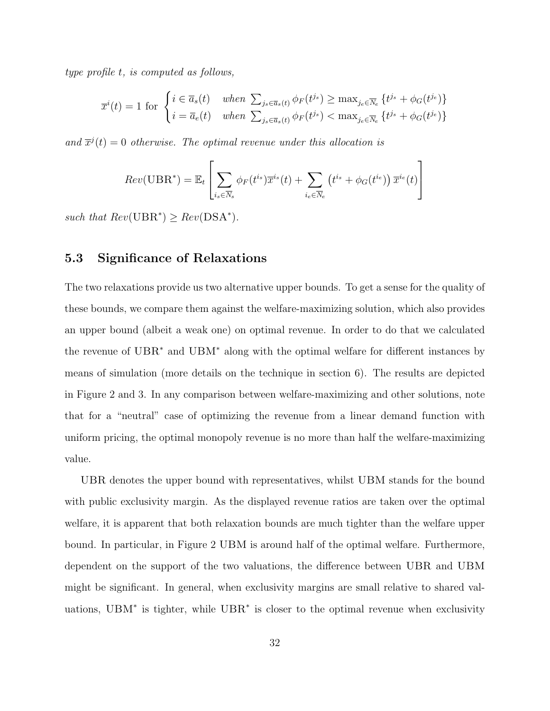type profile t, is computed as follows,

$$
\overline{x}^{i}(t) = 1 \text{ for } \begin{cases} i \in \overline{a}_{s}(t) & when \sum_{j_{s} \in \overline{a}_{s}(t)} \phi_{F}(t^{j_{s}}) \geq \max_{j_{e} \in \overline{N}_{e}} \{t^{j_{s}} + \phi_{G}(t^{j_{e}})\} \\ i = \overline{a}_{e}(t) & when \sum_{j_{s} \in \overline{a}_{s}(t)} \phi_{F}(t^{j_{s}}) < \max_{j_{e} \in \overline{N}_{e}} \{t^{j_{s}} + \phi_{G}(t^{j_{e}})\} \end{cases}
$$

and  $\overline{x}^{j}(t) = 0$  otherwise. The optimal revenue under this allocation is

$$
Rev(\text{UBR}^*) = \mathbb{E}_t \left[ \sum_{i_s \in \overline{N}_s} \phi_F(t^{i_s}) \overline{x}^{i_s}(t) + \sum_{i_e \in \overline{N}_e} \left( t^{i_s} + \phi_G(t^{i_e}) \right) \overline{x}^{i_e}(t) \right]
$$

such that  $Rev(UBR^*) \geq Rev(DSA^*)$ .

### 5.3 Significance of Relaxations

The two relaxations provide us two alternative upper bounds. To get a sense for the quality of these bounds, we compare them against the welfare-maximizing solution, which also provides an upper bound (albeit a weak one) on optimal revenue. In order to do that we calculated the revenue of UBR<sup>∗</sup> and UBM<sup>∗</sup> along with the optimal welfare for different instances by means of simulation (more details on the technique in section 6). The results are depicted in Figure 2 and 3. In any comparison between welfare-maximizing and other solutions, note that for a "neutral" case of optimizing the revenue from a linear demand function with uniform pricing, the optimal monopoly revenue is no more than half the welfare-maximizing value.

UBR denotes the upper bound with representatives, whilst UBM stands for the bound with public exclusivity margin. As the displayed revenue ratios are taken over the optimal welfare, it is apparent that both relaxation bounds are much tighter than the welfare upper bound. In particular, in Figure 2 UBM is around half of the optimal welfare. Furthermore, dependent on the support of the two valuations, the difference between UBR and UBM might be significant. In general, when exclusivity margins are small relative to shared valuations, UBM<sup>∗</sup> is tighter, while UBR<sup>∗</sup> is closer to the optimal revenue when exclusivity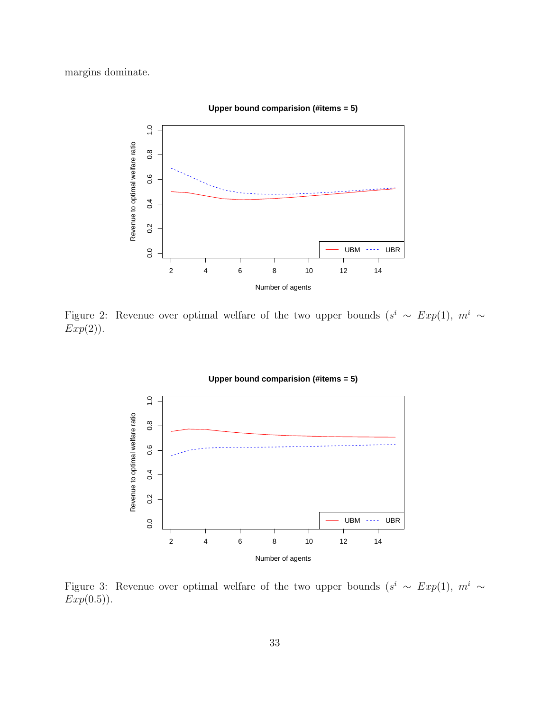margins dominate.



**Upper bound comparision (#items = 5)**

Figure 2: Revenue over optimal welfare of the two upper bounds  $(s^i \sim Exp(1), m^i \sim$  $Exp(2)$ ).



Figure 3: Revenue over optimal welfare of the two upper bounds  $(s^i \sim Exp(1), m^i \sim$  $Exp(0.5)$ .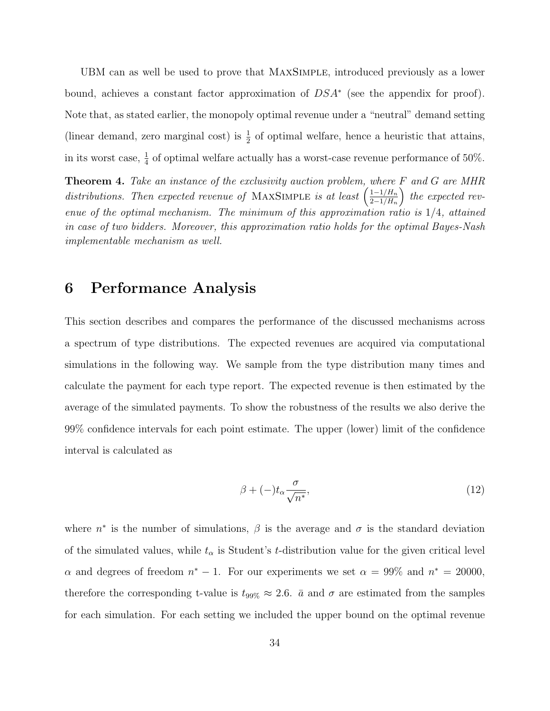UBM can as well be used to prove that MaxSimple, introduced previously as a lower bound, achieves a constant factor approximation of  $DSA^*$  (see the appendix for proof). Note that, as stated earlier, the monopoly optimal revenue under a "neutral" demand setting (linear demand, zero marginal cost) is  $\frac{1}{2}$  of optimal welfare, hence a heuristic that attains, in its worst case,  $\frac{1}{4}$  of optimal welfare actually has a worst-case revenue performance of 50%.

**Theorem 4.** Take an instance of the exclusivity auction problem, where F and G are MHR distributions. Then expected revenue of MAXSIMPLE is at least  $\left(\frac{1-1/H_n}{2-1/H_n}\right)$  $2-1/H_n$ ) the expected revenue of the optimal mechanism. The minimum of this approximation ratio is  $1/4$ , attained in case of two bidders. Moreover, this approximation ratio holds for the optimal Bayes-Nash implementable mechanism as well.

### 6 Performance Analysis

This section describes and compares the performance of the discussed mechanisms across a spectrum of type distributions. The expected revenues are acquired via computational simulations in the following way. We sample from the type distribution many times and calculate the payment for each type report. The expected revenue is then estimated by the average of the simulated payments. To show the robustness of the results we also derive the 99% confidence intervals for each point estimate. The upper (lower) limit of the confidence interval is calculated as

$$
\beta + (-)t_{\alpha} \frac{\sigma}{\sqrt{n^*}},\tag{12}
$$

where  $n^*$  is the number of simulations,  $\beta$  is the average and  $\sigma$  is the standard deviation of the simulated values, while  $t_{\alpha}$  is Student's t-distribution value for the given critical level  $\alpha$  and degrees of freedom  $n^* - 1$ . For our experiments we set  $\alpha = 99\%$  and  $n^* = 20000$ , therefore the corresponding t-value is  $t_{99\%} \approx 2.6$ .  $\bar{a}$  and  $\sigma$  are estimated from the samples for each simulation. For each setting we included the upper bound on the optimal revenue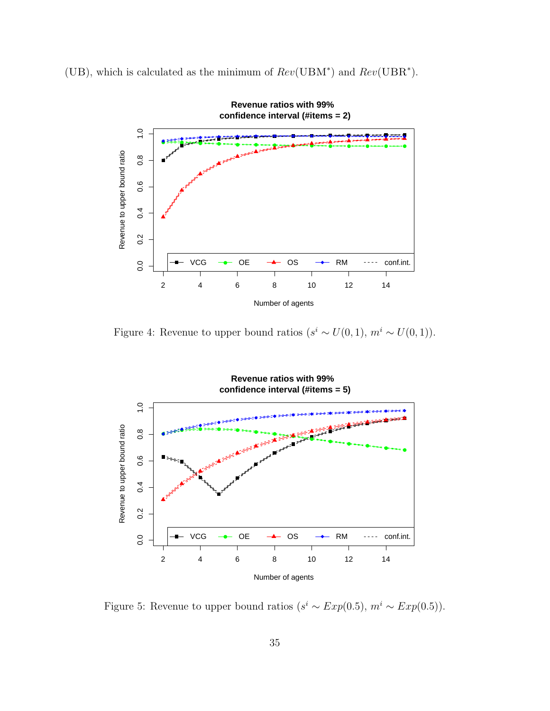(UB), which is calculated as the minimum of  $Rev(UBM^*)$  and  $Rev(UBR^*)$ .



Figure 4: Revenue to upper bound ratios  $(s^i \sim U(0, 1), m^i \sim U(0, 1)).$ 



Figure 5: Revenue to upper bound ratios  $(s^i \sim Exp(0.5), m^i \sim Exp(0.5)).$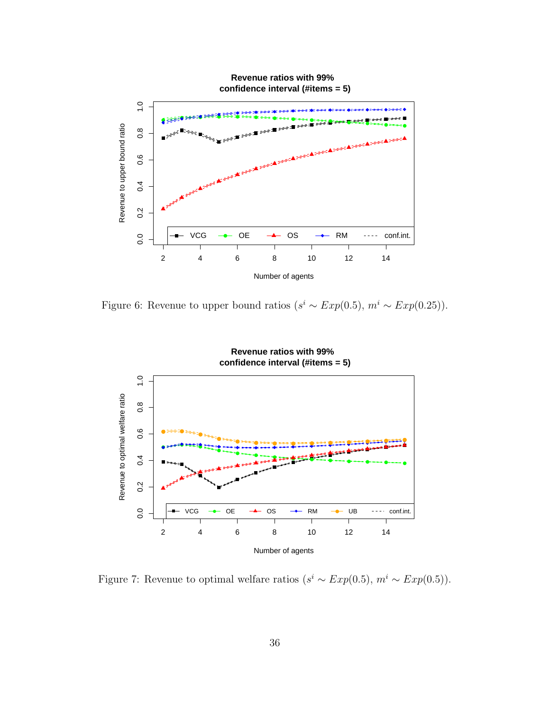

Figure 6: Revenue to upper bound ratios ( $s^i \sim Exp(0.5)$ ,  $m^i \sim Exp(0.25)$ ).



Figure 7: Revenue to optimal welfare ratios  $(s^i \sim Exp(0.5), m^i \sim Exp(0.5)).$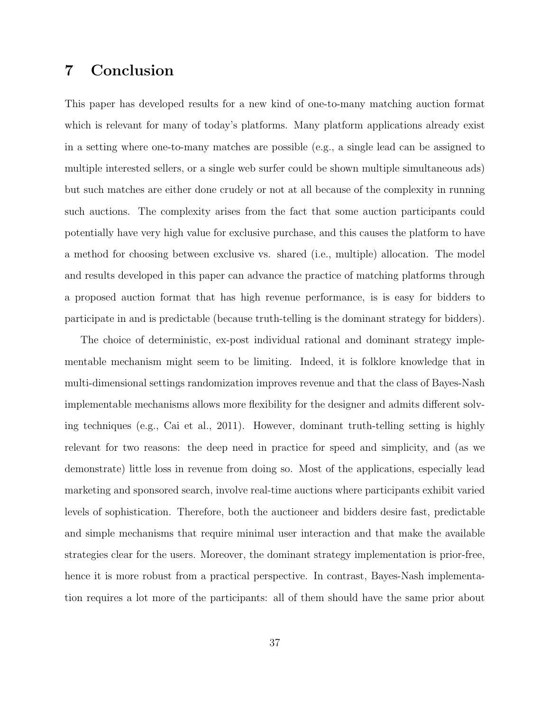## 7 Conclusion

This paper has developed results for a new kind of one-to-many matching auction format which is relevant for many of today's platforms. Many platform applications already exist in a setting where one-to-many matches are possible (e.g., a single lead can be assigned to multiple interested sellers, or a single web surfer could be shown multiple simultaneous ads) but such matches are either done crudely or not at all because of the complexity in running such auctions. The complexity arises from the fact that some auction participants could potentially have very high value for exclusive purchase, and this causes the platform to have a method for choosing between exclusive vs. shared (i.e., multiple) allocation. The model and results developed in this paper can advance the practice of matching platforms through a proposed auction format that has high revenue performance, is is easy for bidders to participate in and is predictable (because truth-telling is the dominant strategy for bidders).

The choice of deterministic, ex-post individual rational and dominant strategy implementable mechanism might seem to be limiting. Indeed, it is folklore knowledge that in multi-dimensional settings randomization improves revenue and that the class of Bayes-Nash implementable mechanisms allows more flexibility for the designer and admits different solving techniques (e.g., Cai et al., 2011). However, dominant truth-telling setting is highly relevant for two reasons: the deep need in practice for speed and simplicity, and (as we demonstrate) little loss in revenue from doing so. Most of the applications, especially lead marketing and sponsored search, involve real-time auctions where participants exhibit varied levels of sophistication. Therefore, both the auctioneer and bidders desire fast, predictable and simple mechanisms that require minimal user interaction and that make the available strategies clear for the users. Moreover, the dominant strategy implementation is prior-free, hence it is more robust from a practical perspective. In contrast, Bayes-Nash implementation requires a lot more of the participants: all of them should have the same prior about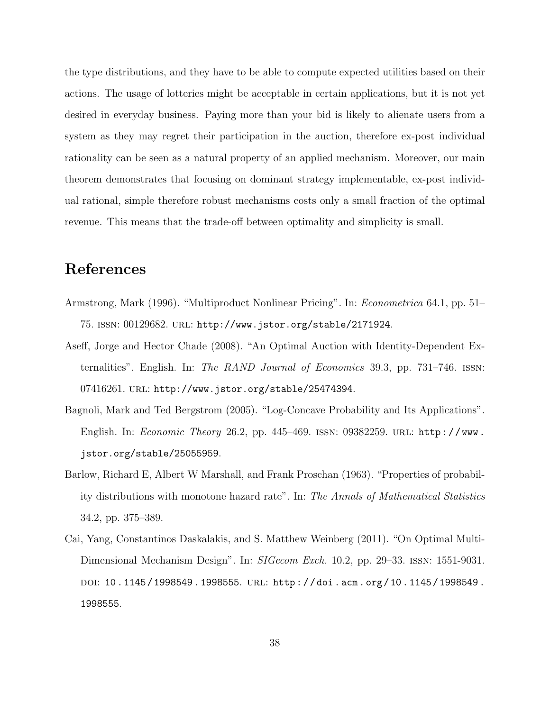the type distributions, and they have to be able to compute expected utilities based on their actions. The usage of lotteries might be acceptable in certain applications, but it is not yet desired in everyday business. Paying more than your bid is likely to alienate users from a system as they may regret their participation in the auction, therefore ex-post individual rationality can be seen as a natural property of an applied mechanism. Moreover, our main theorem demonstrates that focusing on dominant strategy implementable, ex-post individual rational, simple therefore robust mechanisms costs only a small fraction of the optimal revenue. This means that the trade-off between optimality and simplicity is small.

# References

- Armstrong, Mark (1996). "Multiproduct Nonlinear Pricing". In: Econometrica 64.1, pp. 51– 75. issn: 00129682. url: http://www.jstor.org/stable/2171924.
- Aseff, Jorge and Hector Chade (2008). "An Optimal Auction with Identity-Dependent Externalities". English. In: *The RAND Journal of Economics* 39.3, pp. 731–746. ISSN: 07416261. url: http://www.jstor.org/stable/25474394.
- Bagnoli, Mark and Ted Bergstrom (2005). "Log-Concave Probability and Its Applications". English. In: Economic Theory 26.2, pp. 445-469. ISSN: 09382259. URL: http://www. jstor.org/stable/25055959.
- Barlow, Richard E, Albert W Marshall, and Frank Proschan (1963). "Properties of probability distributions with monotone hazard rate". In: The Annals of Mathematical Statistics 34.2, pp. 375–389.
- Cai, Yang, Constantinos Daskalakis, and S. Matthew Weinberg (2011). "On Optimal Multi-Dimensional Mechanism Design". In: *SIGecom Exch.* 10.2, pp. 29–33. ISSN: 1551-9031. doi: 10 . 1145 / 1998549 . 1998555. url: http : / / doi . acm . org / 10 . 1145 / 1998549 . 1998555.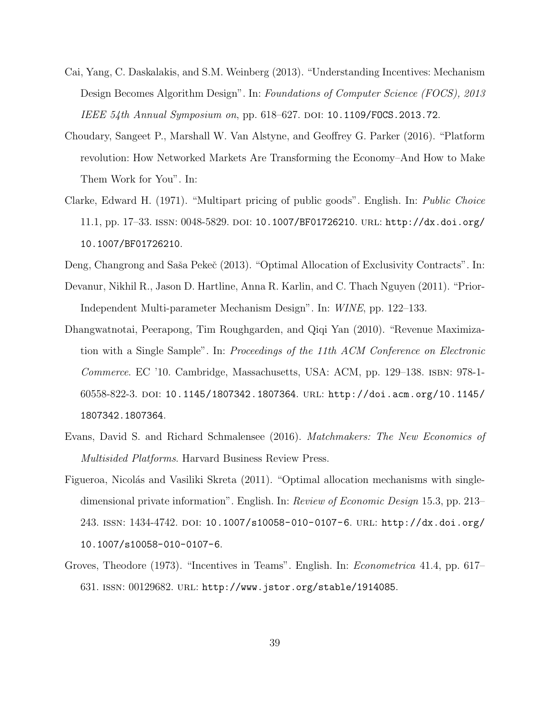- Cai, Yang, C. Daskalakis, and S.M. Weinberg (2013). "Understanding Incentives: Mechanism Design Becomes Algorithm Design". In: Foundations of Computer Science (FOCS), 2013 IEEE 54th Annual Symposium on, pp.  $618–627$ . DOI: 10.1109/FOCS.2013.72.
- Choudary, Sangeet P., Marshall W. Van Alstyne, and Geoffrey G. Parker (2016). "Platform revolution: How Networked Markets Are Transforming the Economy–And How to Make Them Work for You". In:
- Clarke, Edward H. (1971). "Multipart pricing of public goods". English. In: Public Choice 11.1, pp. 17–33. issn: 0048-5829. doi: 10.1007/BF01726210. url: http://dx.doi.org/ 10.1007/BF01726210.
- Deng, Changrong and Saša Pekeč (2013). "Optimal Allocation of Exclusivity Contracts". In:
- Devanur, Nikhil R., Jason D. Hartline, Anna R. Karlin, and C. Thach Nguyen (2011). "Prior-Independent Multi-parameter Mechanism Design". In: WINE, pp. 122–133.
- Dhangwatnotai, Peerapong, Tim Roughgarden, and Qiqi Yan (2010). "Revenue Maximization with a Single Sample". In: Proceedings of the 11th ACM Conference on Electronic Commerce. EC '10. Cambridge, Massachusetts, USA: ACM, pp. 129–138. isbn: 978-1- 60558-822-3. doi: 10.1145/1807342.1807364. url: http://doi.acm.org/10.1145/ 1807342.1807364.
- Evans, David S. and Richard Schmalensee (2016). Matchmakers: The New Economics of Multisided Platforms. Harvard Business Review Press.
- Figueroa, Nicolás and Vasiliki Skreta (2011). "Optimal allocation mechanisms with singledimensional private information". English. In: Review of Economic Design 15.3, pp. 213– 243. issn: 1434-4742. doi: 10.1007/s10058-010-0107-6. url: http://dx.doi.org/ 10.1007/s10058-010-0107-6.
- Groves, Theodore (1973). "Incentives in Teams". English. In: *Econometrica* 41.4, pp. 617– 631. issn: 00129682. url: http://www.jstor.org/stable/1914085.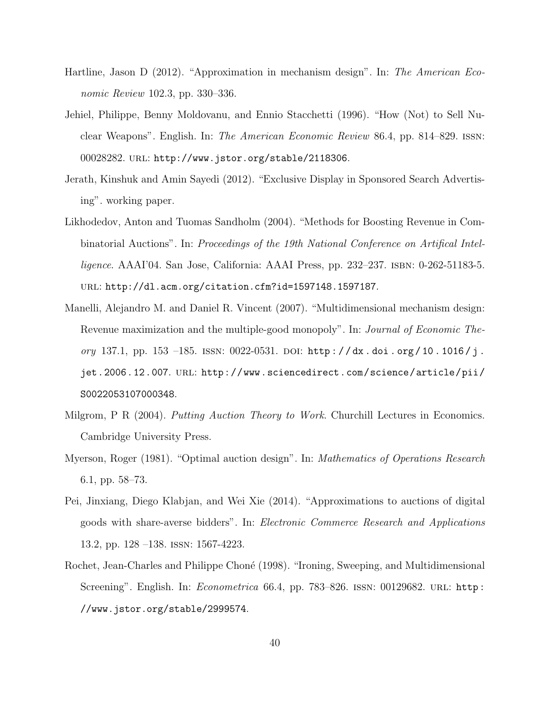- Hartline, Jason D (2012). "Approximation in mechanism design". In: The American Economic Review 102.3, pp. 330–336.
- Jehiel, Philippe, Benny Moldovanu, and Ennio Stacchetti (1996). "How (Not) to Sell Nuclear Weapons". English. In: The American Economic Review 86.4, pp. 814–829. issn: 00028282. url: http://www.jstor.org/stable/2118306.
- Jerath, Kinshuk and Amin Sayedi (2012). "Exclusive Display in Sponsored Search Advertising". working paper.
- Likhodedov, Anton and Tuomas Sandholm (2004). "Methods for Boosting Revenue in Combinatorial Auctions". In: Proceedings of the 19th National Conference on Artifical Intelligence. AAAI'04. San Jose, California: AAAI Press, pp. 232–237. isbn: 0-262-51183-5. url: http://dl.acm.org/citation.cfm?id=1597148.1597187.
- Manelli, Alejandro M. and Daniel R. Vincent (2007). "Multidimensional mechanism design: Revenue maximization and the multiple-good monopoly". In: *Journal of Economic The*ory 137.1, pp. 153 -185. ISSN:  $0022-0531$ . DOI: http://dx.doi.org/10.1016/j. jet.2006.12.007. url: http://www.sciencedirect.com/science/article/pii/ S0022053107000348.
- Milgrom, P R (2004). Putting Auction Theory to Work. Churchill Lectures in Economics. Cambridge University Press.
- Myerson, Roger (1981). "Optimal auction design". In: Mathematics of Operations Research 6.1, pp. 58–73.
- Pei, Jinxiang, Diego Klabjan, and Wei Xie (2014). "Approximations to auctions of digital goods with share-averse bidders". In: Electronic Commerce Research and Applications 13.2, pp. 128 –138. issn: 1567-4223.
- Rochet, Jean-Charles and Philippe Choné (1998). "Ironing, Sweeping, and Multidimensional Screening". English. In: *Econometrica* 66.4, pp. 783–826. ISSN: 00129682. URL: http: //www.jstor.org/stable/2999574.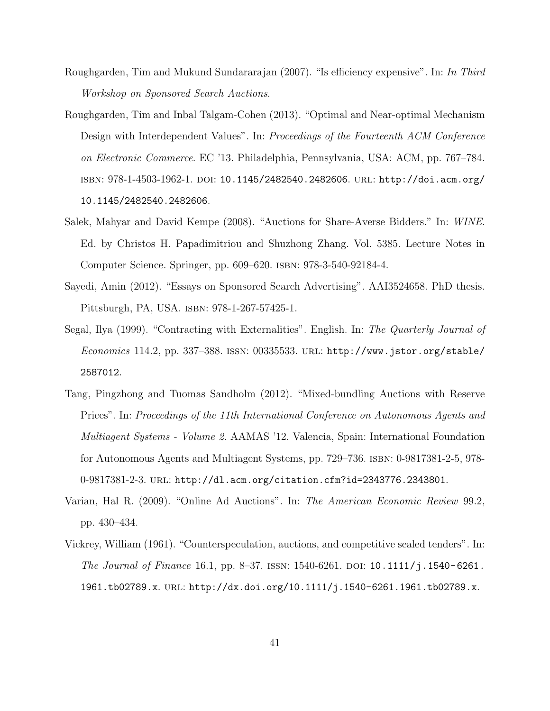- Roughgarden, Tim and Mukund Sundararajan (2007). "Is efficiency expensive". In: In Third Workshop on Sponsored Search Auctions.
- Roughgarden, Tim and Inbal Talgam-Cohen (2013). "Optimal and Near-optimal Mechanism Design with Interdependent Values". In: Proceedings of the Fourteenth ACM Conference on Electronic Commerce. EC '13. Philadelphia, Pennsylvania, USA: ACM, pp. 767–784. isbn: 978-1-4503-1962-1. doi: 10.1145/2482540.2482606. url: http://doi.acm.org/ 10.1145/2482540.2482606.
- Salek, Mahyar and David Kempe (2008). "Auctions for Share-Averse Bidders." In: WINE. Ed. by Christos H. Papadimitriou and Shuzhong Zhang. Vol. 5385. Lecture Notes in Computer Science. Springer, pp. 609–620. isbn: 978-3-540-92184-4.
- Sayedi, Amin (2012). "Essays on Sponsored Search Advertising". AAI3524658. PhD thesis. Pittsburgh, PA, USA. isbn: 978-1-267-57425-1.
- Segal, Ilya (1999). "Contracting with Externalities". English. In: The Quarterly Journal of  $Economics$  114.2, pp. 337–388. ISSN: 00335533. URL: http://www.jstor.org/stable/ 2587012.
- Tang, Pingzhong and Tuomas Sandholm (2012). "Mixed-bundling Auctions with Reserve Prices". In: Proceedings of the 11th International Conference on Autonomous Agents and Multiagent Systems - Volume 2. AAMAS '12. Valencia, Spain: International Foundation for Autonomous Agents and Multiagent Systems, pp. 729–736. isbn: 0-9817381-2-5, 978- 0-9817381-2-3. url: http://dl.acm.org/citation.cfm?id=2343776.2343801.
- Varian, Hal R. (2009). "Online Ad Auctions". In: The American Economic Review 99.2, pp. 430–434.
- Vickrey, William (1961). "Counterspeculation, auctions, and competitive sealed tenders". In: The Journal of Finance 16.1, pp. 8–37. ISSN: 1540-6261. DOI: 10.1111/j.1540-6261. 1961.tb02789.x. url: http://dx.doi.org/10.1111/j.1540-6261.1961.tb02789.x.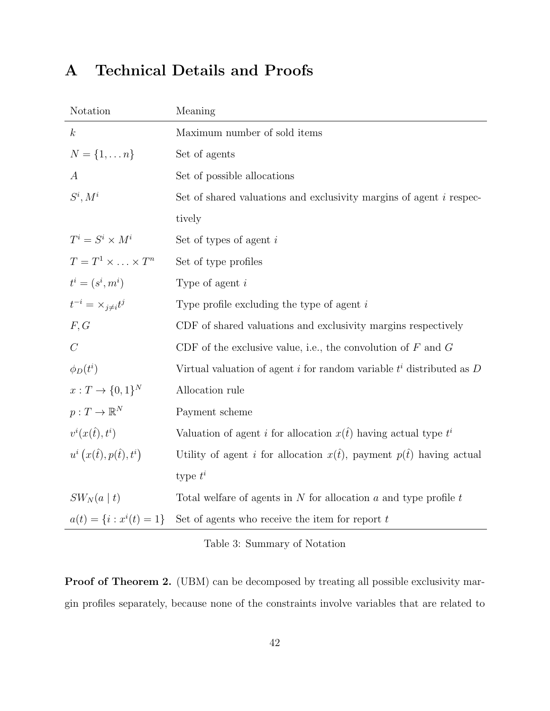# A Technical Details and Proofs

| Notation                           | Meaning                                                                        |
|------------------------------------|--------------------------------------------------------------------------------|
| $\boldsymbol{k}$                   | Maximum number of sold items                                                   |
| $N = \{1, \ldots n\}$              | Set of agents                                                                  |
| $\boldsymbol{A}$                   | Set of possible allocations                                                    |
| $S^i, M^i$                         | Set of shared valuations and exclusivity margins of agent <i>i</i> respec-     |
|                                    | tively                                                                         |
| $T^i = S^i \times M^i$             | Set of types of agent $i$                                                      |
| $T=T^1\times \ldots \times T^n$    | Set of type profiles                                                           |
| $t^i = (s^i, m^i)$                 | Type of agent $i$                                                              |
| $t^{-i} = \times_{i \neq i} t^j$   | Type profile excluding the type of agent $i$                                   |
| F, G                               | CDF of shared valuations and exclusivity margins respectively                  |
| $\mathcal{C}$                      | CDF of the exclusive value, i.e., the convolution of $F$ and $G$               |
| $\phi_D(t^i)$                      | Virtual valuation of agent i for random variable $t^i$ distributed as D        |
| $x: T \to \{0,1\}^N$               | Allocation rule                                                                |
| $p: T \to \mathbb{R}^N$            | Payment scheme                                                                 |
| $v^i(x(\hat{t}), t^i)$             | Valuation of agent i for allocation $x(t)$ having actual type $t^i$            |
| $u^i(x(\hat{t}), p(\hat{t}), t^i)$ | Utility of agent <i>i</i> for allocation $x(t)$ , payment $p(t)$ having actual |
|                                    | type $t^i$                                                                     |
| $SW_N(a   t)$                      | Total welfare of agents in $N$ for allocation $a$ and type profile $t$         |
| $a(t) = \{i : x^{i}(t) = 1\}$      | Set of agents who receive the item for report $t$                              |

Table 3: Summary of Notation

Proof of Theorem 2. (UBM) can be decomposed by treating all possible exclusivity margin profiles separately, because none of the constraints involve variables that are related to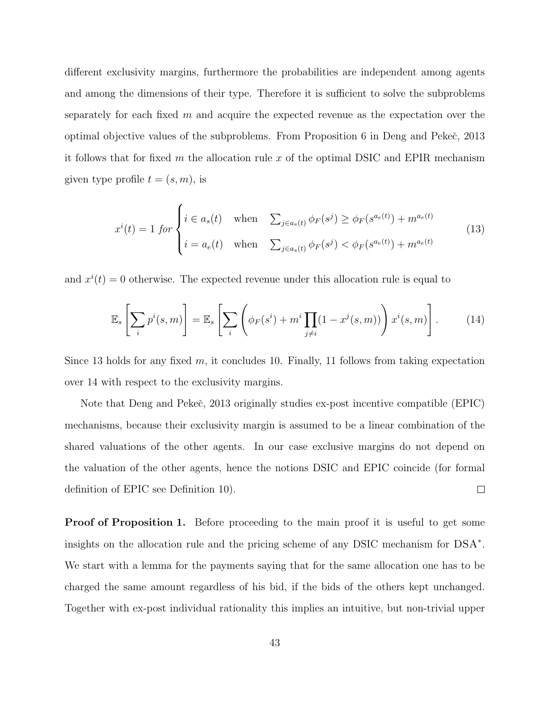different exclusivity margins, furthermore the probabilities are independent among agents and among the dimensions of their type. Therefore it is sufficient to solve the subproblems separately for each fixed  $m$  and acquire the expected revenue as the expectation over the optimal objective values of the subproblems. From Proposition 6 in Deng and Pekeč, 2013 it follows that for fixed m the allocation rule x of the optimal DSIC and EPIR mechanism given type profile  $t = (s, m)$ , is

$$
x^{i}(t) = 1 \text{ for } \begin{cases} i \in a_{s}(t) & \text{when } \sum_{j \in a_{s}(t)} \phi_{F}(s^{j}) \geq \phi_{F}(s^{a_{e}(t)}) + m^{a_{e}(t)} \\ i = a_{e}(t) & \text{when } \sum_{j \in a_{s}(t)} \phi_{F}(s^{j}) < \phi_{F}(s^{a_{e}(t)}) + m^{a_{e}(t)} \end{cases}
$$
(13)

and  $x^{i}(t) = 0$  otherwise. The expected revenue under this allocation rule is equal to

$$
\mathbb{E}_s\left[\sum_i p^i(s,m)\right] = \mathbb{E}_s\left[\sum_i \left(\phi_F(s^i) + m^i \prod_{j \neq i} (1 - x^j(s,m))\right) x^i(s,m)\right].\tag{14}
$$

Since 13 holds for any fixed m, it concludes 10. Finally, 11 follows from taking expectation over 14 with respect to the exclusivity margins.

Note that Deng and Pekeč, 2013 originally studies ex-post incentive compatible (EPIC) mechanisms, because their exclusivity margin is assumed to be a linear combination of the shared valuations of the other agents. In our case exclusive margins do not depend on the valuation of the other agents, hence the notions DSIC and EPIC coincide (for formal  $\Box$ definition of EPIC see Definition 10).

Proof of Proposition 1. Before proceeding to the main proof it is useful to get some insights on the allocation rule and the pricing scheme of any DSIC mechanism for DSA<sup>∗</sup> . We start with a lemma for the payments saying that for the same allocation one has to be charged the same amount regardless of his bid, if the bids of the others kept unchanged. Together with ex-post individual rationality this implies an intuitive, but non-trivial upper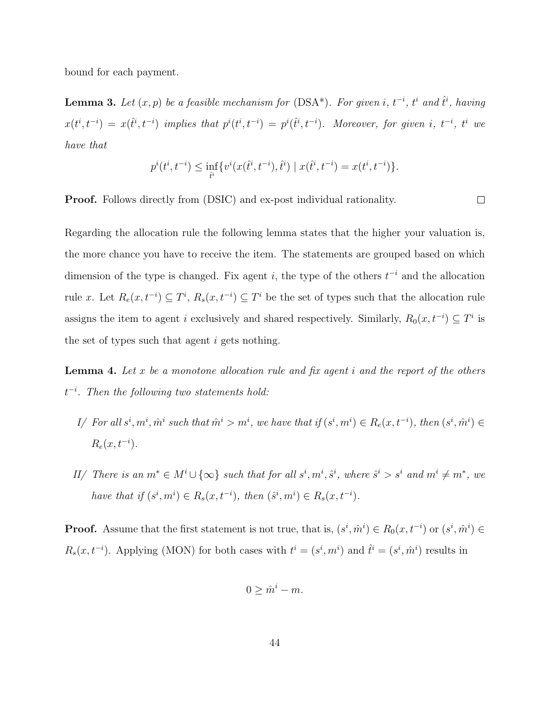bound for each payment.

**Lemma 3.** Let  $(x, p)$  be a feasible mechanism for  $(DSA^*)$ . For given i,  $t^{-i}$ ,  $t^{i}$  and  $\hat{t}^{i}$ , having  $x(t^i, t^{-i}) = x(\hat{t}^i, t^{-i})$  implies that  $p^i(t^i, t^{-i}) = p^i(\hat{t}^i, t^{-i})$ . Moreover, for given i,  $t^{-i}$ ,  $t^i$  we have that

$$
p^{i}(t^{i},t^{-i}) \le \inf_{\hat{t}^{i}} \{v^{i}(x(\hat{t}^{i},t^{-i}),\hat{t}^{i}) \mid x(\hat{t}^{i},t^{-i}) = x(t^{i},t^{-i})\}.
$$

Proof. Follows directly from (DSIC) and ex-post individual rationality.

 $\Box$ 

Regarding the allocation rule the following lemma states that the higher your valuation is, the more chance you have to receive the item. The statements are grouped based on which dimension of the type is changed. Fix agent i, the type of the others  $t^{-i}$  and the allocation rule x. Let  $R_e(x, t^{-i}) \subseteq T^i$ ,  $R_s(x, t^{-i}) \subseteq T^i$  be the set of types such that the allocation rule assigns the item to agent i exclusively and shared respectively. Similarly,  $R_0(x, t^{-i}) \subseteq T^i$  is the set of types such that agent  $i$  gets nothing.

**Lemma 4.** Let  $x$  be a monotone allocation rule and fix agent  $i$  and the report of the others  $t^{-i}$ . Then the following two statements hold:

- I/ For all  $s^i, m^i, \hat{m}^i$  such that  $\hat{m}^i > m^i$ , we have that if  $(s^i, m^i) \in R_e(x, t^{-i})$ , then  $(s^i, \hat{m}^i) \in$  $R_e(x, t^{-i}).$
- II/ There is an  $m^* \in M^i \cup \{\infty\}$  such that for all  $s^i, m^i, \hat{s}^i$ , where  $\hat{s}^i > s^i$  and  $m^i \neq m^*$ , we have that if  $(s^i, m^i) \in R_s(x, t^{-i})$ , then  $(\hat{s}^i, m^i) \in R_s(x, t^{-i})$ .

**Proof.** Assume that the first statement is not true, that is,  $(s^i, \hat{m}^i) \in R_0(x, t^{-i})$  or  $(s^i, \hat{m}^i) \in$  $R_s(x, t^{-i})$ . Applying (MON) for both cases with  $t^i = (s^i, m^i)$  and  $\hat{t}^i = (s^i, \hat{m}^i)$  results in

$$
0 \geq \hat{m}^i - m.
$$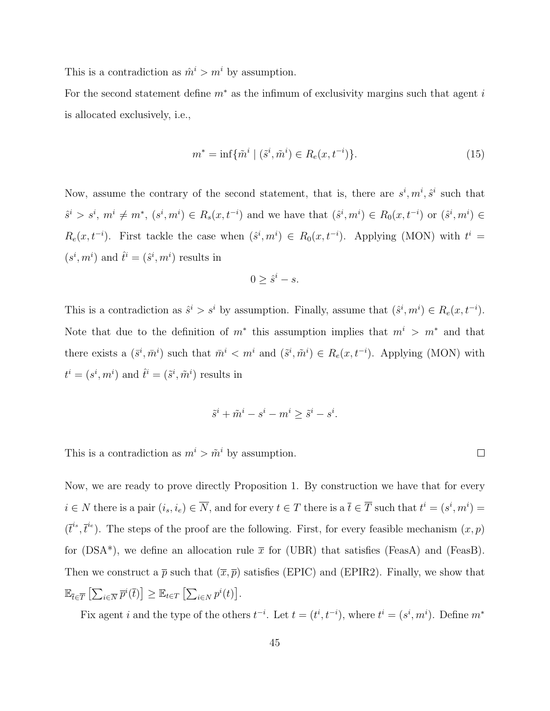This is a contradiction as  $\hat{m}^i > m^i$  by assumption.

For the second statement define  $m^*$  as the infimum of exclusivity margins such that agent i is allocated exclusively, i.e.,

$$
m^* = \inf \{ \tilde{m}^i \mid (\tilde{s}^i, \tilde{m}^i) \in R_e(x, t^{-i}) \}.
$$
 (15)

Now, assume the contrary of the second statement, that is, there are  $s^i, m^i, \hat{s}^i$  such that  $\hat{s}^i > s^i, m^i \neq m^*, (s^i, m^i) \in R_s(x, t^{-i})$  and we have that  $(\hat{s}^i, m^i) \in R_0(x, t^{-i})$  or  $(\hat{s}^i, m^i) \in$  $R_e(x, t^{-i})$ . First tackle the case when  $(\hat{s}^i, m^i) \in R_0(x, t^{-i})$ . Applying (MON) with  $t^i =$  $(s^i, m^i)$  and  $\hat{t}^i = (\hat{s}^i, m^i)$  results in

$$
0 \geq \hat{s}^i - s.
$$

This is a contradiction as  $\hat{s}^i > s^i$  by assumption. Finally, assume that  $(\hat{s}^i, m^i) \in R_e(x, t^{-i})$ . Note that due to the definition of  $m^*$  this assumption implies that  $m^i > m^*$  and that there exists a  $(\bar{s}^i, \bar{m}^i)$  such that  $\bar{m}^i < m^i$  and  $(\tilde{s}^i, \tilde{m}^i) \in R_e(x, t^{-i})$ . Applying (MON) with  $t^i = (s^i, m^i)$  and  $\hat{t}^i = (\tilde{s}^i, \tilde{m}^i)$  results in

$$
\tilde{s}^i + \tilde{m}^i - s^i - m^i \ge \tilde{s}^i - s^i.
$$

This is a contradiction as  $m^i > \tilde{m}^i$  by assumption.

Now, we are ready to prove directly Proposition 1. By construction we have that for every  $i \in N$  there is a pair  $(i_s, i_e) \in \overline{N}$ , and for every  $t \in T$  there is a  $\overline{t} \in \overline{T}$  such that  $t^i = (s^i, m^i) =$  $(\bar{t}^i, \bar{t}^i)$ . The steps of the proof are the following. First, for every feasible mechanism  $(x, p)$ for (DSA\*), we define an allocation rule  $\bar{x}$  for (UBR) that satisfies (FeasA) and (FeasB). Then we construct a  $\bar{p}$  such that  $(\bar{x}, \bar{p})$  satisfies (EPIC) and (EPIR2). Finally, we show that  $\mathbb{E}_{\bar{t}\in\overline{T}}\left[\sum_{i\in\overline{N}}\overline{p}^i(\bar{t})\right]\geq \mathbb{E}_{t\in T}\left[\sum_{i\in N}p^i(t)\right].$ 

Fix agent i and the type of the others  $t^{-i}$ . Let  $t = (t^i, t^{-i})$ , where  $t^i = (s^i, m^i)$ . Define  $m^*$ 

 $\Box$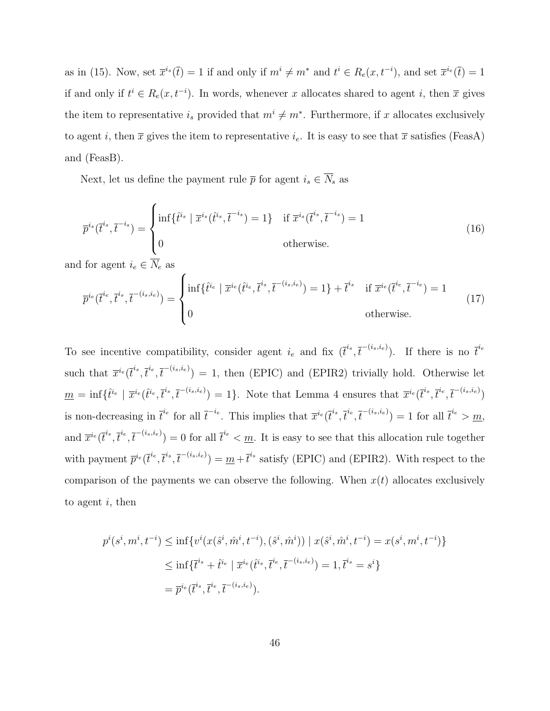as in (15). Now, set  $\bar{x}^{i_s}(\bar{t}) = 1$  if and only if  $m^i \neq m^*$  and  $t^i \in R_e(x, t^{-i})$ , and set  $\bar{x}^{i_e}(\bar{t}) = 1$ if and only if  $t^i \in R_e(x, t^{-i})$ . In words, whenever x allocates shared to agent i, then  $\overline{x}$  gives the item to representative  $i_s$  provided that  $m^i \neq m^*$ . Furthermore, if x allocates exclusively to agent i, then  $\bar{x}$  gives the item to representative  $i_e$ . It is easy to see that  $\bar{x}$  satisfies (FeasA) and (FeasB).

Next, let us define the payment rule  $\overline{p}$  for agent  $i_s \in \overline{N}_s$  as

$$
\overline{p}^{i_s}(\overline{t}^{i_s}, \overline{t}^{-i_s}) = \begin{cases} \inf\{\hat{t}^{i_s} \mid \overline{x}^{i_s}(\hat{t}^{i_s}, \overline{t}^{-i_s}) = 1\} & \text{if } \overline{x}^{i_s}(\overline{t}^{i_s}, \overline{t}^{-i_s}) = 1\\ 0 & \text{otherwise.} \end{cases}
$$
\n(16)

and for agent  $i_e \in N_e$  as

$$
\overline{p}^{i_e}(\overline{t}^{i_e}, \overline{t}^{i_s}, \overline{t}^{-(i_s, i_e)}) = \begin{cases} \inf \{ \hat{t}^{i_e} \mid \overline{x}^{i_e}(\hat{t}^{i_e}, \overline{t}^{i_s}, \overline{t}^{-(i_s, i_e)}) = 1 \} + \overline{t}^{i_s} & \text{if } \overline{x}^{i_e}(\overline{t}^{i_e}, \overline{t}^{-i_e}) = 1\\ 0 & \text{otherwise.} \end{cases}
$$
(17)

To see incentive compatibility, consider agent  $i_e$  and fix  $(\bar{t}^{i_s}, \bar{t}^{-(i_s, i_e)})$ . If there is no  $\bar{t}^{i_e}$ such that  $\overline{x}^{i_e}(\overline{t}^{i_s},\overline{t}^{i_e},\overline{t}^{-(i_s,i_e)})=1$ , then (EPIC) and (EPIR2) trivially hold. Otherwise let  $m = \inf \{ \hat{t}^{i_e} \mid \overline{x}^{i_e}(\hat{t}^{i_e}, \overline{t}^{i_s}, \overline{t}^{-(i_s, i_e)}) = 1 \}.$  Note that Lemma 4 ensures that  $\overline{x}^{i_e}(\overline{t}^{i_s}, \overline{t}^{i_e}, \overline{t}^{-(i_s, i_e)})$ is non-decreasing in  $\bar{t}^{i_e}$  for all  $\bar{t}^{-i_e}$ . This implies that  $\bar{x}^{i_e}(\bar{t}^{i_s}, \bar{t}^{i_e}, \bar{t}^{-(i_s, i_e)}) = 1$  for all  $\bar{t}^{i_e} > m$ , and  $\overline{x}^{i_e}(\overline{t}^{i_s},\overline{t}^{i_e},\overline{t}^{-(i_s,i_e)})=0$  for all  $\overline{t}^{i_e} < \underline{m}$ . It is easy to see that this allocation rule together with payment  $\bar{p}^{i_e}(\bar{t}^{i_e}, \bar{t}^{i_s}, \bar{t}^{-(i_s,i_e)}) = \underline{m} + \bar{t}^{i_s}$  satisfy (EPIC) and (EPIR2). With respect to the comparison of the payments we can observe the following. When  $x(t)$  allocates exclusively to agent  $i$ , then

$$
p^{i}(s^{i}, m^{i}, t^{-i}) \leq \inf \{ v^{i}(x(\hat{s}^{i}, \hat{m}^{i}, t^{-i}), (\hat{s}^{i}, \hat{m}^{i})) \mid x(\hat{s}^{i}, \hat{m}^{i}, t^{-i}) = x(s^{i}, m^{i}, t^{-i}) \}
$$
  

$$
\leq \inf \{ \bar{t}^{i_{s}} + \hat{t}^{i_{e}} \mid \bar{x}^{i_{e}}(\hat{t}^{i_{s}}, \bar{t}^{i_{e}}, \bar{t}^{-(i_{s}, i_{e})}) = 1, \bar{t}^{i_{s}} = s^{i} \}
$$
  

$$
= \bar{p}^{i_{e}}(\bar{t}^{i_{s}}, \bar{t}^{i_{e}}, \bar{t}^{-(i_{s}, i_{e})}).
$$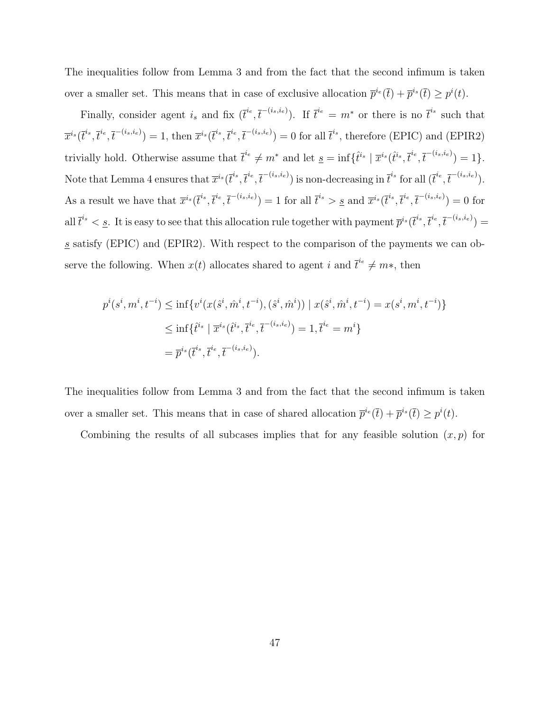The inequalities follow from Lemma 3 and from the fact that the second infimum is taken over a smaller set. This means that in case of exclusive allocation  $\bar{p}^{i_e}(\bar{t}) + \bar{p}^{i_s}(\bar{t}) \geq p^{i}(t)$ .

Finally, consider agent  $i_s$  and fix  $(\bar{t}^{i_e}, \bar{t}^{-(i_s,i_e)})$ . If  $\bar{t}^{i_e} = m^*$  or there is no  $\bar{t}^{i_s}$  such that  $\overline{x}^{i_s}(\overline{t}^{i_s},\overline{t}^{i_e},\overline{t}^{-(i_s,i_e)})=1$ , then  $\overline{x}^{i_s}(\overline{t}^{i_s},\overline{t}^{i_e},\overline{t}^{-(i_s,i_e)})=0$  for all  $\overline{t}^{i_s}$ , therefore (EPIC) and (EPIR2) trivially hold. Otherwise assume that  $\bar{t}^{i_e} \neq m^*$  and let  $\underline{s} = \inf \{ \hat{t}^{i_s} \mid \bar{x}^{i_s}(\hat{t}^{i_s}, \bar{t}^{i_e}, \bar{t}^{-(i_s, i_e)}) = 1 \}.$ Note that Lemma 4 ensures that  $\overline{x}^{i_s}(\overline{t}^{i_s}, \overline{t}^{i_e}, \overline{t}^{-(i_s,i_e)})$  is non-decreasing in  $\overline{t}^{i_s}$  for all  $(\overline{t}^{i_e}, \overline{t}^{-(i_s,i_e)})$ . As a result we have that  $\overline{x}^{i_s}(\overline{t}^{i_s}, \overline{t}^{i_e}, \overline{t}^{-(i_s, i_e)}) = 1$  for all  $\overline{t}^{i_s} > \underline{s}$  and  $\overline{x}^{i_s}(\overline{t}^{i_s}, \overline{t}^{i_e}, \overline{t}^{-(i_s, i_e)}) = 0$  for all  $\bar{t}^{i_s} < \underline{s}$ . It is easy to see that this allocation rule together with payment  $\bar{p}^{i_s}(\bar{t}^{i_s}, \bar{t}^{i_e}, \bar{t}^{-(i_s, i_e)}) =$ s satisfy (EPIC) and (EPIR2). With respect to the comparison of the payments we can observe the following. When  $x(t)$  allocates shared to agent i and  $\bar{t}^{i_e} \neq m*,$  then

$$
p^{i}(s^{i}, m^{i}, t^{-i}) \leq \inf \{ v^{i}(x(\hat{s}^{i}, \hat{m}^{i}, t^{-i}), (\hat{s}^{i}, \hat{m}^{i})) \mid x(\hat{s}^{i}, \hat{m}^{i}, t^{-i}) = x(s^{i}, m^{i}, t^{-i}) \}
$$
  
\n
$$
\leq \inf \{ \hat{t}^{i_{s}} \mid \overline{x}^{i_{s}}(\hat{t}^{i_{s}}, \overline{t}^{i_{e}}, \overline{t}^{-(i_{s}, i_{e})}) = 1, \overline{t}^{i_{e}} = m^{i} \}
$$
  
\n
$$
= \overline{p}^{i_{s}}(\overline{t}^{i_{s}}, \overline{t}^{i_{e}}, \overline{t}^{-(i_{s}, i_{e})}).
$$

The inequalities follow from Lemma 3 and from the fact that the second infimum is taken over a smaller set. This means that in case of shared allocation  $\bar{p}^{i_e}(\bar{t}) + \bar{p}^{i_s}(\bar{t}) \geq p^{i}(t)$ .

Combining the results of all subcases implies that for any feasible solution  $(x, p)$  for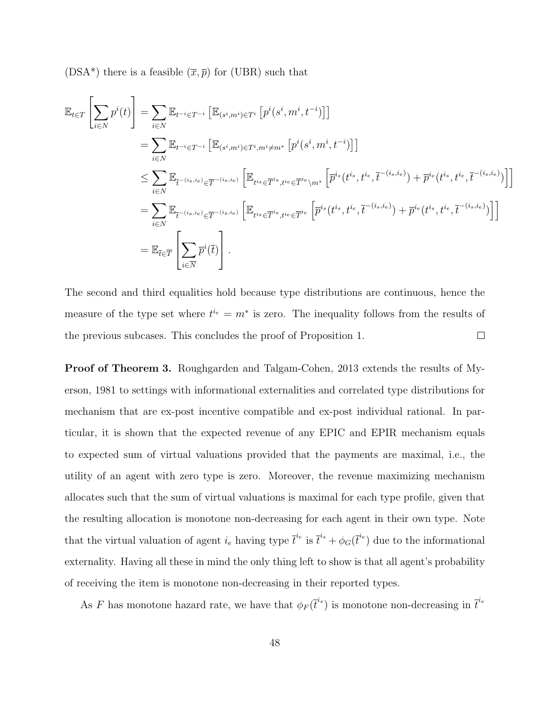(DSA\*) there is a feasible  $(\overline{x}, \overline{p})$  for (UBR) such that

$$
\mathbb{E}_{t \in T} \left[ \sum_{i \in N} p^{i}(t) \right] = \sum_{i \in N} \mathbb{E}_{t^{-i} \in T^{-i}} \left[ \mathbb{E}_{(s^{i}, m^{i}) \in T^{i}} \left[ p^{i}(s^{i}, m^{i}, t^{-i}) \right] \right]
$$
\n
$$
= \sum_{i \in N} \mathbb{E}_{t^{-i} \in T^{-i}} \left[ \mathbb{E}_{(s^{i}, m^{i}) \in T^{i}, m^{i} \neq m^{*}} \left[ p^{i}(s^{i}, m^{i}, t^{-i}) \right] \right]
$$
\n
$$
\leq \sum_{i \in N} \mathbb{E}_{\overline{t}^{-(i_s, i_e)} \in \overline{T}^{-(i_s, i_e)}} \left[ \mathbb{E}_{t^{i_s} \in \overline{T}^{i_s}, t^{i_e} \in \overline{T}^{i_e} \setminus m^{*}} \left[ \overline{p}^{i_s}(t^{i_s}, t^{i_e}, \overline{t}^{-(i_s, i_e)}) + \overline{p}^{i_e}(t^{i_s}, t^{i_e}, \overline{t}^{-(i_s, i_e)}) \right] \right]
$$
\n
$$
= \sum_{i \in N} \mathbb{E}_{\overline{t}^{-(i_s, i_e)} \in \overline{T}^{-(i_s, i_e)}} \left[ \mathbb{E}_{t^{i_s} \in \overline{T}^{i_s}, t^{i_e} \in \overline{T}^{i_e}} \left[ \overline{p}^{i_s}(t^{i_s}, t^{i_e}, \overline{t}^{-(i_s, i_e)}) + \overline{p}^{i_e}(t^{i_s}, t^{i_e}, \overline{t}^{-(i_s, i_e)}) \right] \right]
$$
\n
$$
= \mathbb{E}_{\overline{t} \in \overline{T}} \left[ \sum_{i \in \overline{N}} \overline{p}^{i}(\overline{t}) \right].
$$

The second and third equalities hold because type distributions are continuous, hence the measure of the type set where  $t^{i_e} = m^*$  is zero. The inequality follows from the results of the previous subcases. This concludes the proof of Proposition 1.  $\Box$ 

Proof of Theorem 3. Roughgarden and Talgam-Cohen, 2013 extends the results of Myerson, 1981 to settings with informational externalities and correlated type distributions for mechanism that are ex-post incentive compatible and ex-post individual rational. In particular, it is shown that the expected revenue of any EPIC and EPIR mechanism equals to expected sum of virtual valuations provided that the payments are maximal, i.e., the utility of an agent with zero type is zero. Moreover, the revenue maximizing mechanism allocates such that the sum of virtual valuations is maximal for each type profile, given that the resulting allocation is monotone non-decreasing for each agent in their own type. Note that the virtual valuation of agent  $i_e$  having type  $\bar{t}^{i_e}$  is  $\bar{t}^{i_s} + \phi_G(\bar{t}^{i_e})$  due to the informational externality. Having all these in mind the only thing left to show is that all agent's probability of receiving the item is monotone non-decreasing in their reported types.

As F has monotone hazard rate, we have that  $\phi_F(\bar{t}^{i_s})$  is monotone non-decreasing in  $\bar{t}^{i_s}$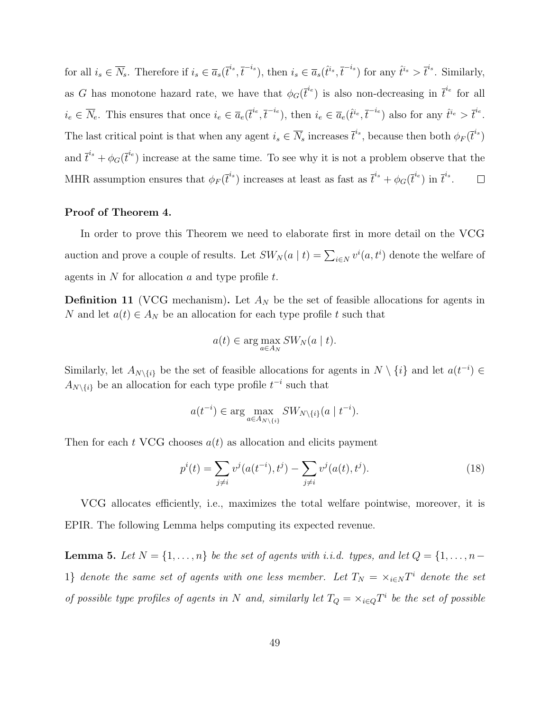for all  $i_s \in \overline{N}_s$ . Therefore if  $i_s \in \overline{a}_s(\overline{t}^{i_s}, \overline{t}^{-i_s})$ , then  $i_s \in \overline{a}_s(\hat{t}^{i_s}, \overline{t}^{-i_s})$  for any  $\hat{t}^{i_s} > \overline{t}^{i_s}$ . Similarly, as G has monotone hazard rate, we have that  $\phi_G(\bar{t}^{i_e})$  is also non-decreasing in  $\bar{t}^{i_e}$  for all  $i_e \in \overline{N}_e$ . This ensures that once  $i_e \in \overline{a}_e(\overline{t}^{i_e}, \overline{t}^{-i_e})$ , then  $i_e \in \overline{a}_e(\hat{t}^{i_e}, \overline{t}^{-i_e})$  also for any  $\hat{t}^{i_e} > \overline{t}^{i_e}$ . The last critical point is that when any agent  $i_s \in \overline{N}_s$  increases  $\overline{t}^{i_s}$ , because then both  $\phi_F(\overline{t}^{i_s})$ and  $\bar{t}^{i_s} + \phi_G(\bar{t}^{i_e})$  increase at the same time. To see why it is not a problem observe that the MHR assumption ensures that  $\phi_F(\bar{t}^{i_s})$  increases at least as fast as  $\bar{t}^{i_s} + \phi_G(\bar{t}^{i_e})$  in  $\bar{t}^{i_s}$ .  $\Box$ 

#### Proof of Theorem 4.

In order to prove this Theorem we need to elaborate first in more detail on the VCG auction and prove a couple of results. Let  $SW_N(a | t) = \sum_{i \in N} v^i(a, t^i)$  denote the welfare of agents in  $N$  for allocation  $a$  and type profile  $t$ .

**Definition 11** (VCG mechanism). Let  $A_N$  be the set of feasible allocations for agents in N and let  $a(t) \in A_N$  be an allocation for each type profile t such that

$$
a(t) \in \arg\max_{a \in A_N} SW_N(a \mid t).
$$

Similarly, let  $A_{N\setminus\{i\}}$  be the set of feasible allocations for agents in  $N\setminus\{i\}$  and let  $a(t^{-i})\in$  $A_{N\setminus\{i\}}$  be an allocation for each type profile  $t^{-i}$  such that

$$
a(t^{-i}) \in \arg\max_{a \in A_{N \setminus \{i\}}} SW_{N \setminus \{i\}}(a \mid t^{-i}).
$$

Then for each t VCG chooses  $a(t)$  as allocation and elicits payment

$$
p^{i}(t) = \sum_{j \neq i} v^{j}(a(t^{-i}), t^{j}) - \sum_{j \neq i} v^{j}(a(t), t^{j}).
$$
\n(18)

VCG allocates efficiently, i.e., maximizes the total welfare pointwise, moreover, it is EPIR. The following Lemma helps computing its expected revenue.

**Lemma 5.** Let  $N = \{1, \ldots, n\}$  be the set of agents with i.i.d. types, and let  $Q = \{1, \ldots, n-1\}$ 1} denote the same set of agents with one less member. Let  $T_N = \times_{i \in N} T^i$  denote the set of possible type profiles of agents in N and, similarly let  $T_Q = \times_{i \in Q} T^i$  be the set of possible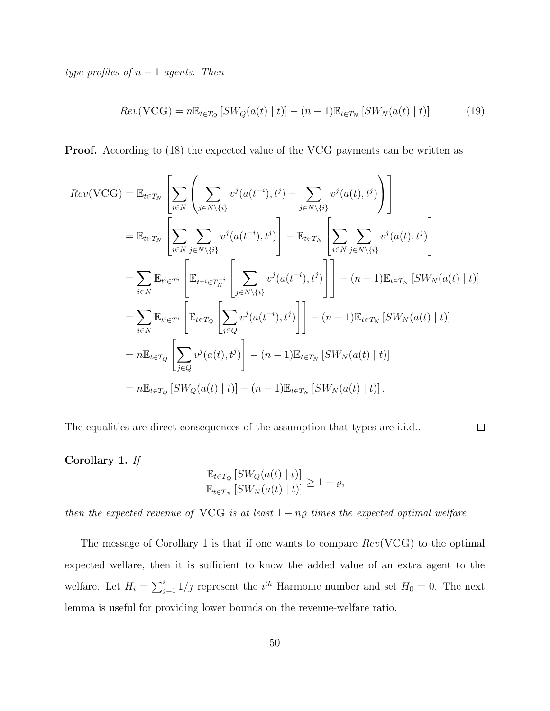type profiles of  $n-1$  agents. Then

$$
Rev(VCG) = n \mathbb{E}_{t \in T_Q} \left[ SW_Q(a(t) \mid t) \right] - (n-1) \mathbb{E}_{t \in T_N} \left[ SW_N(a(t) \mid t) \right] \tag{19}
$$

Proof. According to (18) the expected value of the VCG payments can be written as

$$
Rev(VCG) = \mathbb{E}_{t \in T_N} \left[ \sum_{i \in N} \left( \sum_{j \in N \setminus \{i\}} v^j(a(t^{-i}), t^j) - \sum_{j \in N \setminus \{i\}} v^j(a(t), t^j) \right) \right]
$$
  
\n
$$
= \mathbb{E}_{t \in T_N} \left[ \sum_{i \in N} \sum_{j \in N \setminus \{i\}} v^j(a(t^{-i}), t^j) \right] - \mathbb{E}_{t \in T_N} \left[ \sum_{i \in N} \sum_{j \in N \setminus \{i\}} v^j(a(t), t^j) \right]
$$
  
\n
$$
= \sum_{i \in N} \mathbb{E}_{t^i \in T^i} \left[ \mathbb{E}_{t^{-i} \in T_N} \left[ \sum_{j \in N \setminus \{i\}} v^j(a(t^{-i}), t^j) \right] \right] - (n - 1) \mathbb{E}_{t \in T_N} \left[ SW_N(a(t) \mid t) \right]
$$
  
\n
$$
= \sum_{i \in N} \mathbb{E}_{t^i \in T^i} \left[ \mathbb{E}_{t \in T_Q} \left[ \sum_{j \in Q} v^j(a(t^{-i}), t^j) \right] \right] - (n - 1) \mathbb{E}_{t \in T_N} \left[ SW_N(a(t) \mid t) \right]
$$
  
\n
$$
= n \mathbb{E}_{t \in T_Q} \left[ \sum_{j \in Q} v^j(a(t), t^j) \right] - (n - 1) \mathbb{E}_{t \in T_N} \left[ SW_N(a(t) \mid t) \right]
$$
  
\n
$$
= n \mathbb{E}_{t \in T_Q} \left[ SW_Q(a(t) \mid t) \right] - (n - 1) \mathbb{E}_{t \in T_N} \left[ SW_N(a(t) \mid t) \right].
$$

The equalities are direct consequences of the assumption that types are i.i.d..

Corollary 1. If

$$
\frac{\mathbb{E}_{t \in T_Q} \left[ SW_Q(a(t) \mid t) \right]}{\mathbb{E}_{t \in T_N} \left[ SW_N(a(t) \mid t) \right]} \ge 1 - \varrho,
$$

 $\Box$ 

then the expected revenue of VCG is at least  $1 - n\varrho$  times the expected optimal welfare.

The message of Corollary 1 is that if one wants to compare  $Rev(VCG)$  to the optimal expected welfare, then it is sufficient to know the added value of an extra agent to the welfare. Let  $H_i = \sum_{j=1}^{i} 1/j$  represent the  $i^{th}$  Harmonic number and set  $H_0 = 0$ . The next lemma is useful for providing lower bounds on the revenue-welfare ratio.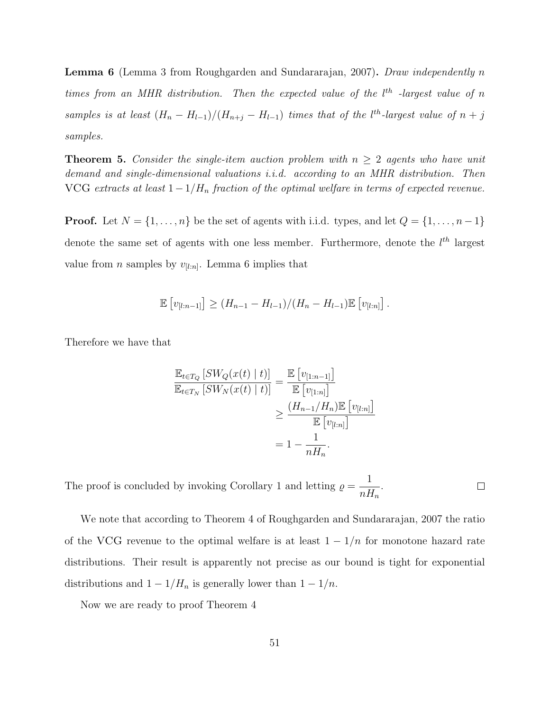Lemma 6 (Lemma 3 from Roughgarden and Sundararajan, 2007). Draw independently n times from an MHR distribution. Then the expected value of the  $l^{th}$  -largest value of n samples is at least  $(H_n - H_{l-1})/(H_{n+j} - H_{l-1})$  times that of the l<sup>th</sup>-largest value of  $n + j$ samples.

**Theorem 5.** Consider the single-item auction problem with  $n \geq 2$  agents who have unit demand and single-dimensional valuations i.i.d. according to an MHR distribution. Then VCG extracts at least  $1-1/H_n$  fraction of the optimal welfare in terms of expected revenue.

**Proof.** Let  $N = \{1, ..., n\}$  be the set of agents with i.i.d. types, and let  $Q = \{1, ..., n-1\}$ denote the same set of agents with one less member. Furthermore, denote the  $l^{th}$  largest value from *n* samples by  $v_{[l:n]}$ . Lemma 6 implies that

$$
\mathbb{E}\left[v_{[l:n-1]}\right] \geq (H_{n-1} - H_{l-1})/(H_n - H_{l-1})\mathbb{E}\left[v_{[l:n]}\right].
$$

Therefore we have that

$$
\frac{\mathbb{E}_{t \in T_Q} \left[ SW_Q(x(t) \mid t) \right]}{\mathbb{E}_{t \in T_N} \left[ SW_N(x(t) \mid t) \right]} = \frac{\mathbb{E} \left[ v_{[1:n-1]} \right]}{\mathbb{E} \left[ v_{[1:n]} \right]} \\
\geq \frac{\left( H_{n-1} / H_n \right) \mathbb{E} \left[ v_{[l:n]} \right]}{\mathbb{E} \left[ v_{[l:n]} \right]} \\
= 1 - \frac{1}{n H_n}.
$$

1 The proof is concluded by invoking Corollary 1 and letting  $\rho =$ .  $\Box$  $nH_n$ 

We note that according to Theorem 4 of Roughgarden and Sundararajan, 2007 the ratio of the VCG revenue to the optimal welfare is at least  $1 - 1/n$  for monotone hazard rate distributions. Their result is apparently not precise as our bound is tight for exponential distributions and  $1 - 1/H_n$  is generally lower than  $1 - 1/n$ .

Now we are ready to proof Theorem 4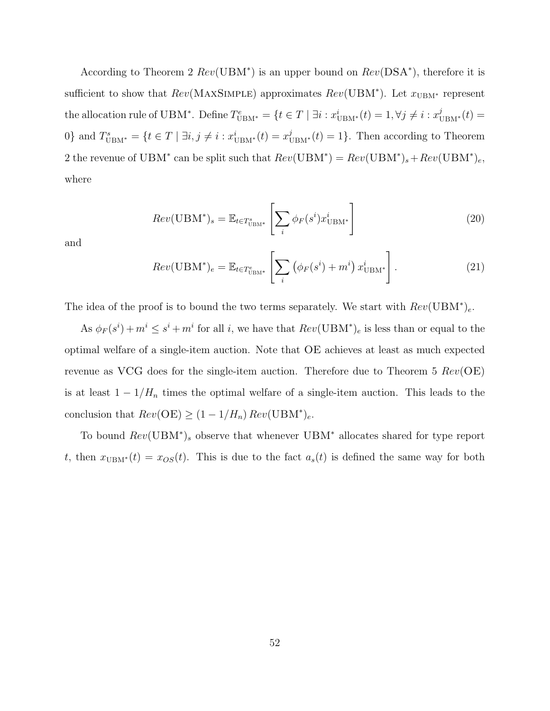According to Theorem 2  $Rev(UBM^*)$  is an upper bound on  $Rev(DSA^*)$ , therefore it is sufficient to show that  $Rev(MAXSIMPLE)$  approximates  $Rev(UBM^*)$ . Let  $x<sub>UBM^*</sub>$  represent the allocation rule of UBM<sup>\*</sup>. Define  $T_{\text{UBM}^*}^e = \{t \in T \mid \exists i : x_{\text{UBM}^*}^i(t) = 1, \forall j \neq i : x_{\text{UBM}^*}^j(t) = 1\}$ 0} and  $T_{\text{UBM}^*}^s = \{t \in T \mid \exists i, j \neq i : x_{\text{UBM}^*}^i(t) = x_{\text{UBM}^*}^j(t) = 1\}.$  Then according to Theorem 2 the revenue of UBM<sup>\*</sup> can be split such that  $Rev(UBM^*) = Rev(UBM^*)_s + Rev(UBM^*)_e$ , where

$$
Rev(UBM^*)_s = \mathbb{E}_{t \in T^s_{UBM^*}} \left[ \sum_i \phi_F(s^i) x^i_{UBM^*} \right]
$$
 (20)

and

$$
Rev(UBM^*)_e = \mathbb{E}_{t \in T^e_{UBM^*}} \left[ \sum_i \left( \phi_F(s^i) + m^i \right) x^i_{UBM^*} \right]. \tag{21}
$$

The idea of the proof is to bound the two terms separately. We start with  $Rev(UBM^*)_e$ .

As  $\phi_F(s^i) + m^i \leq s^i + m^i$  for all i, we have that  $Rev(UBM^*)_e$  is less than or equal to the optimal welfare of a single-item auction. Note that OE achieves at least as much expected revenue as VCG does for the single-item auction. Therefore due to Theorem 5  $Rev(OE)$ is at least  $1 - 1/H_n$  times the optimal welfare of a single-item auction. This leads to the conclusion that  $Rev(OE) \ge (1 - 1/H_n) Rev(UBM^*)_e$ .

To bound  $Rev(UBM^*)$ , observe that whenever  $UBM^*$  allocates shared for type report t, then  $x_{\text{UBM}^*}(t) = x_{OS}(t)$ . This is due to the fact  $a_s(t)$  is defined the same way for both